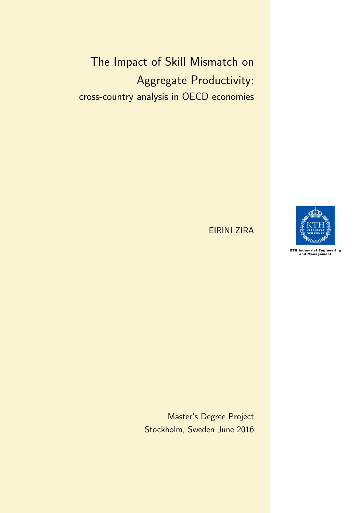<span id="page-0-0"></span>The Impact of Skill Mismatch on Aggregate Productivity: cross-country analysis in OECD economies

EIRINI ZIRA



KTH Industrial Engineering<br>and Management

Master's Degree Project Stockholm, Sweden June 2016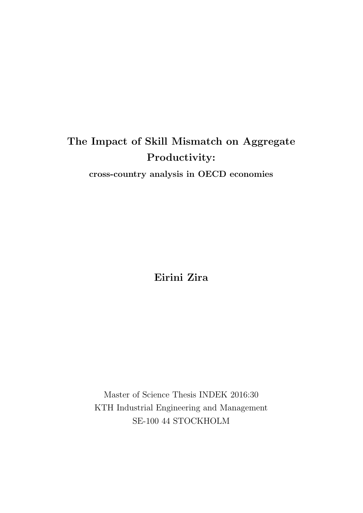### The Impact of Skill Mismatch on Aggregate Productivity:

cross-country analysis in OECD economies

Eirini Zira

Master of Science Thesis INDEK 2016:30 KTH Industrial Engineering and Management SE-100 44 STOCKHOLM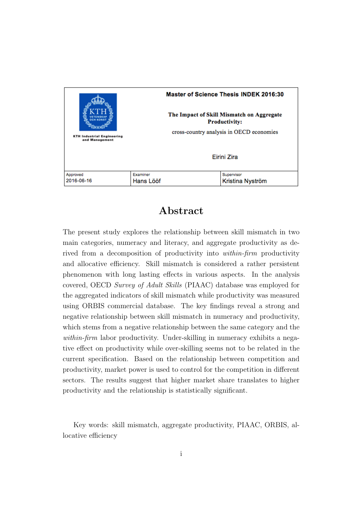|                                                     | Master of Science Thesis INDEK 2016:30                            |                                          |                  |  |  |
|-----------------------------------------------------|-------------------------------------------------------------------|------------------------------------------|------------------|--|--|
|                                                     | The Impact of Skill Mismatch on Aggregate<br><b>Productivity:</b> |                                          |                  |  |  |
| <b>KTH Industrial Engineering</b><br>and Management |                                                                   | cross-country analysis in OECD economies |                  |  |  |
|                                                     |                                                                   |                                          | Eirini Zira      |  |  |
| Approved                                            | Examiner                                                          |                                          | Supervisor       |  |  |
| 2016-06-16                                          | Hans Lööf                                                         |                                          | Kristina Nyström |  |  |

### Abstract

The present study explores the relationship between skill mismatch in two main categories, numeracy and literacy, and aggregate productivity as derived from a decomposition of productivity into within-firm productivity and allocative efficiency. Skill mismatch is considered a rather persistent phenomenon with long lasting effects in various aspects. In the analysis covered, OECD Survey of Adult Skills (PIAAC) database was employed for the aggregated indicators of skill mismatch while productivity was measured using ORBIS commercial database. The key findings reveal a strong and negative relationship between skill mismatch in numeracy and productivity, which stems from a negative relationship between the same category and the within-firm labor productivity. Under-skilling in numeracy exhibits a negative effect on productivity while over-skilling seems not to be related in the current specification. Based on the relationship between competition and productivity, market power is used to control for the competition in different sectors. The results suggest that higher market share translates to higher productivity and the relationship is statistically significant.

Key words: skill mismatch, aggregate productivity, PIAAC, ORBIS, allocative efficiency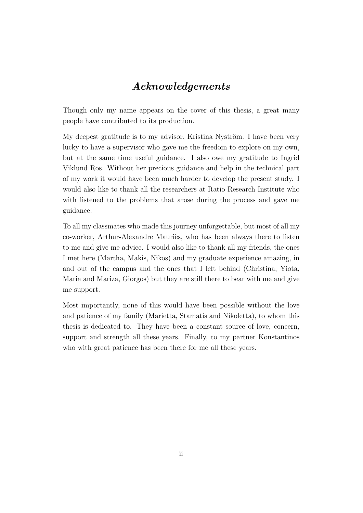### Acknowledgements

Though only my name appears on the cover of this thesis, a great many people have contributed to its production.

My deepest gratitude is to my advisor, Kristina Nyström. I have been very lucky to have a supervisor who gave me the freedom to explore on my own, but at the same time useful guidance. I also owe my gratitude to Ingrid Viklund Ros. Without her precious guidance and help in the technical part of my work it would have been much harder to develop the present study. I would also like to thank all the researchers at Ratio Research Institute who with listened to the problems that arose during the process and gave me guidance.

To all my classmates who made this journey unforgettable, but most of all my co-worker, Arthur-Alexandre Mauriès, who has been always there to listen to me and give me advice. I would also like to thank all my friends, the ones I met here (Martha, Makis, Nikos) and my graduate experience amazing, in and out of the campus and the ones that I left behind (Christina, Yiota, Maria and Mariza, Giorgos) but they are still there to bear with me and give me support.

Most importantly, none of this would have been possible without the love and patience of my family (Marietta, Stamatis and Nikoletta), to whom this thesis is dedicated to. They have been a constant source of love, concern, support and strength all these years. Finally, to my partner Konstantinos who with great patience has been there for me all these years.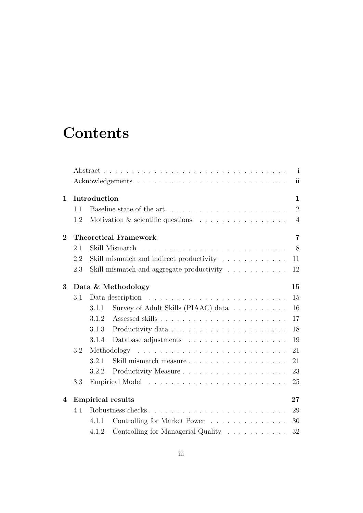# **Contents**

|                |     |              | $\mathbf{i}$                                                                                |  |
|----------------|-----|--------------|---------------------------------------------------------------------------------------------|--|
|                |     |              | $\overline{\text{ii}}$                                                                      |  |
| 1              |     | Introduction | $\mathbf{1}$                                                                                |  |
|                | 1.1 |              | $\overline{2}$                                                                              |  |
|                | 1.2 |              | Motivation $\&$ scientific questions $\ldots \ldots \ldots \ldots \ldots$<br>$\overline{4}$ |  |
| $\overline{2}$ |     |              | <b>Theoretical Framework</b><br>$\overline{7}$                                              |  |
|                | 2.1 |              | 8                                                                                           |  |
|                | 2.2 |              | Skill mismatch and indirect productivity $\ldots \ldots \ldots \ldots$<br>11                |  |
|                | 2.3 |              | Skill mismatch and aggregate productivity $\ldots \ldots \ldots$<br>12                      |  |
| 3              |     |              | Data & Methodology<br>15                                                                    |  |
|                | 3.1 |              | 15<br>Data description $\ldots \ldots \ldots \ldots \ldots \ldots \ldots \ldots$            |  |
|                |     | 3.1.1        | Survey of Adult Skills (PIAAC) data<br>16                                                   |  |
|                |     | 3.1.2        | 17                                                                                          |  |
|                |     | 3.1.3        | 18                                                                                          |  |
|                |     | 3.1.4        | 19                                                                                          |  |
|                | 3.2 |              | 21                                                                                          |  |
|                |     | 3.2.1        | Skill mismatch measure<br>21                                                                |  |
|                |     | 3.2.2        | Productivity Measure<br>23                                                                  |  |
|                | 3.3 |              | 25                                                                                          |  |
| 4              |     |              | <b>Empirical results</b><br>27                                                              |  |
|                | 4.1 |              | Robustness checks<br>29                                                                     |  |
|                |     | 4.1.1        | Controlling for Market Power<br>30                                                          |  |
|                |     | 4.1.2        | Controlling for Managerial Quality<br>32                                                    |  |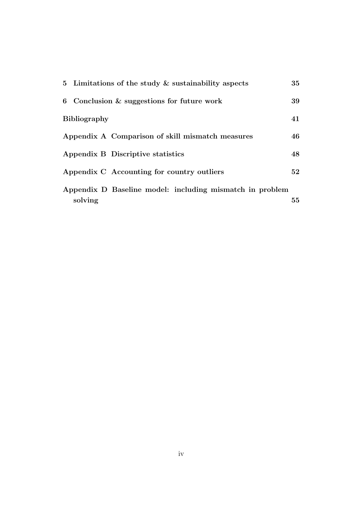|                     | 5 Limitations of the study $\&$ sustainability aspects   | 35 |
|---------------------|----------------------------------------------------------|----|
|                     | 6 Conclusion $\&$ suggestions for future work            | 39 |
| <b>Bibliography</b> |                                                          | 41 |
|                     | Appendix A Comparison of skill mismatch measures         | 46 |
|                     | Appendix B Discriptive statistics                        | 48 |
|                     | Appendix C Accounting for country outliers               | 52 |
| solving             | Appendix D Baseline model: including mismatch in problem | 55 |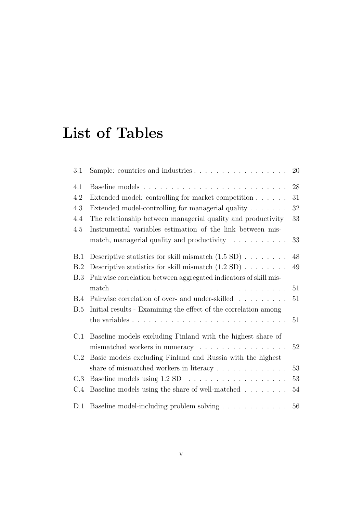# List of Tables

| 3.1 | Sample: countries and industries $\dots \dots \dots \dots \dots \dots$               | 20     |
|-----|--------------------------------------------------------------------------------------|--------|
| 4.1 |                                                                                      | 28     |
| 4.2 | Extended model: controlling for market competition                                   | 31     |
| 4.3 | Extended model-controlling for managerial quality                                    | 32     |
| 4.4 | The relationship between managerial quality and productivity                         | 33     |
| 4.5 | Instrumental variables estimation of the link between mis-                           |        |
|     | match, managerial quality and productivity                                           | 33     |
| B.1 | Descriptive statistics for skill mismatch $(1.5 \text{ SD}) \dots \dots$             | $48\,$ |
| B.2 | Descriptive statistics for skill mismatch $(1.2 \text{ SD}) \dots \dots$             | 49     |
| B.3 | Pairwise correlation between aggregated indicators of skill mis-                     |        |
|     | $match \dots \dots \dots \dots$<br>and a complete the complete state of the complete | 51     |
| B.4 | Pairwise correlation of over- and under-skilled                                      | 51     |
| B.5 | Initial results - Examining the effect of the correlation among                      |        |
|     |                                                                                      | 51     |
| C.1 | Baseline models excluding Finland with the highest share of                          |        |
|     | mismatched workers in numeracy                                                       | 52     |
| C.2 | Basic models excluding Finland and Russia with the highest                           |        |
|     | share of mismatched workers in literacy $\dots \dots \dots \dots$                    | $53\,$ |
| C.3 |                                                                                      | 53     |
| C.4 | Baseline models using the share of well-matched                                      | 54     |
| D.1 | Baseline model-including problem solving                                             | 56     |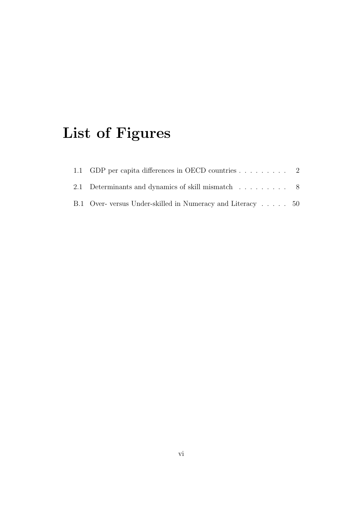# List of Figures

| 1.1 GDP per capita differences in OECD countries 2         |  |
|------------------------------------------------------------|--|
| 2.1 Determinants and dynamics of skill mismatch 8          |  |
| B.1 Over-versus Under-skilled in Numeracy and Literacy  50 |  |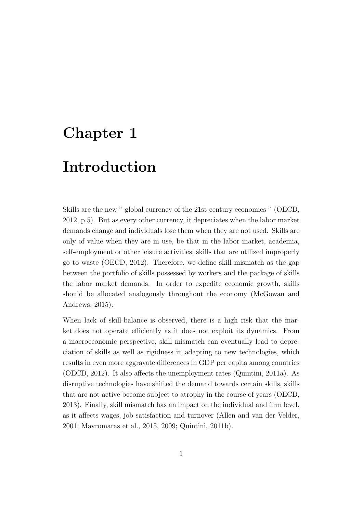# <span id="page-8-0"></span>Chapter 1

### Introduction

Skills are the new " global currency of the 21st-century economies " [\(OECD,](#page-51-0) [2012,](#page-51-0) p.5). But as every other currency, it depreciates when the labor market demands change and individuals lose them when they are not used. Skills are only of value when they are in use, be that in the labor market, academia, self-employment or other leisure activities; skills that are utilized improperly go to waste [\(OECD, 2012\)](#page-51-0). Therefore, we define skill mismatch as the gap between the portfolio of skills possessed by workers and the package of skills the labor market demands. In order to expedite economic growth, skills should be allocated analogously throughout the economy [\(McGowan and](#page-51-1) [Andrews, 2015\)](#page-51-1).

When lack of skill-balance is observed, there is a high risk that the market does not operate efficiently as it does not exploit its dynamics. From a macroeconomic perspective, skill mismatch can eventually lead to depreciation of skills as well as rigidness in adapting to new technologies, which results in even more aggravate differences in GDP per capita among countries [\(OECD, 2012\)](#page-51-0). It also affects the unemployment rates [\(Quintini, 2011a\)](#page-51-2). As disruptive technologies have shifted the demand towards certain skills, skills that are not active become subject to atrophy in the course of years [\(OECD,](#page-51-3) [2013\)](#page-51-3). Finally, skill mismatch has an impact on the individual and firm level, as it affects wages, job satisfaction and turnover [\(Allen and van der Velder,](#page-48-1) [2001;](#page-48-1) [Mavromaras et al., 2015,](#page-51-4) [2009;](#page-50-0) [Quintini, 2011b\)](#page-51-5).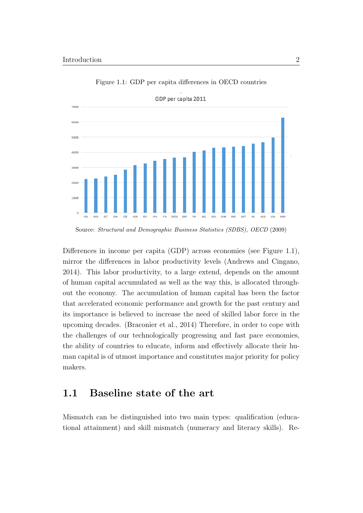<span id="page-9-1"></span>

Figure 1.1: GDP per capita differences in OECD countries

Differences in income per capita (GDP) across economies (see [Figure 1.1\)](#page-9-1), mirror the differences in labor productivity levels [\(Andrews and Cingano,](#page-48-2) [2014\)](#page-48-2). This labor productivity, to a large extend, depends on the amount of human capital accumulated as well as the way this, is allocated throughout the economy. The accumulation of human capital has been the factor that accelerated economic performance and growth for the past century and its importance is believed to increase the need of skilled labor force in the upcoming decades. [\(Braconier et al., 2014\)](#page-49-0) Therefore, in order to cope with the challenges of our technologically progressing and fast pace economies, the ability of countries to educate, inform and effectively allocate their human capital is of utmost importance and constitutes major priority for policy makers.

### <span id="page-9-0"></span>1.1 Baseline state of the art

Mismatch can be distinguished into two main types: qualification (educational attainment) and skill mismatch (numeracy and literacy skills). Re-

Source: [Structural and Demographic Business Statistics \(SDBS\), OECD](#page-52-0) [\(2009\)](#page-52-0)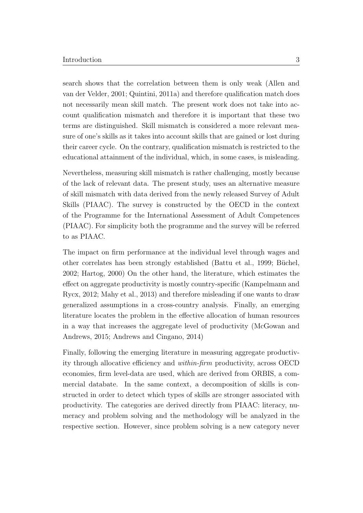search shows that the correlation between them is only weak [\(Allen and](#page-48-1) [van der Velder, 2001;](#page-48-1) [Quintini, 2011a\)](#page-51-2) and therefore qualification match does not necessarily mean skill match. The present work does not take into account qualification mismatch and therefore it is important that these two terms are distinguished. Skill mismatch is considered a more relevant measure of one's skills as it takes into account skills that are gained or lost during their career cycle. On the contrary, qualification mismatch is restricted to the educational attainment of the individual, which, in some cases, is misleading.

Nevertheless, measuring skill mismatch is rather challenging, mostly because of the lack of relevant data. The present study, uses an alternative measure of skill mismatch with data derived from the newly released Survey of Adult Skills (PIAAC). The survey is constructed by the OECD in the context of the Programme for the International Assessment of Adult Competences (PIAAC). For simplicity both the programme and the survey will be referred to as PIAAC.

The impact on firm performance at the individual level through wages and other correlates has been strongly established [\(Battu et al., 1999;](#page-48-3) Büchel, [2002;](#page-49-1) [Hartog, 2000\)](#page-50-1) On the other hand, the literature, which estimates the effect on aggregate productivity is mostly country-specific [\(Kampelmann and](#page-50-2) [Rycx, 2012;](#page-50-2) [Mahy et al., 2013\)](#page-50-3) and therefore misleading if one wants to draw generalized assumptions in a cross-country analysis. Finally, an emerging literature locates the problem in the effective allocation of human resources in a way that increases the aggregate level of productivity [\(McGowan and](#page-51-1) [Andrews, 2015;](#page-51-1) [Andrews and Cingano, 2014\)](#page-48-2)

Finally, following the emerging literature in measuring aggregate productivity through allocative efficiency and within-firm productivity, across OECD economies, firm level-data are used, which are derived from ORBIS, a commercial databate. In the same context, a decomposition of skills is constructed in order to detect which types of skills are stronger associated with productivity. The categories are derived directly from PIAAC: literacy, numeracy and problem solving and the methodology will be analyzed in the respective section. However, since problem solving is a new category never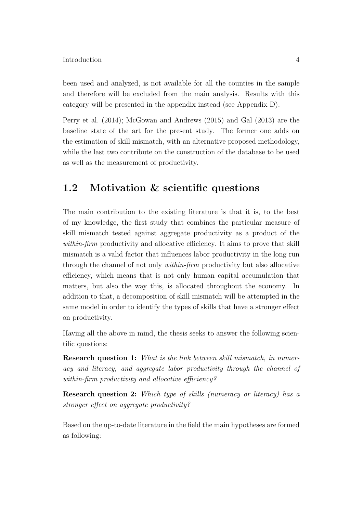been used and analyzed, is not available for all the counties in the sample and therefore will be excluded from the main analysis. Results with this category will be presented in the appendix instead (see Appendix [D\)](#page-62-0).

[Perry et al.](#page-51-6) [\(2014\)](#page-51-6); [McGowan and Andrews](#page-51-1) [\(2015\)](#page-51-1) and [Gal](#page-50-4) [\(2013\)](#page-50-4) are the baseline state of the art for the present study. The former one adds on the estimation of skill mismatch, with an alternative proposed methodology, while the last two contribute on the construction of the database to be used as well as the measurement of productivity.

### <span id="page-11-0"></span>1.2 Motivation & scientific questions

The main contribution to the existing literature is that it is, to the best of my knowledge, the first study that combines the particular measure of skill mismatch tested against aggregate productivity as a product of the within-firm productivity and allocative efficiency. It aims to prove that skill mismatch is a valid factor that influences labor productivity in the long run through the channel of not only within-firm productivity but also allocative efficiency, which means that is not only human capital accumulation that matters, but also the way this, is allocated throughout the economy. In addition to that, a decomposition of skill mismatch will be attempted in the same model in order to identify the types of skills that have a stronger effect on productivity.

Having all the above in mind, the thesis seeks to answer the following scientific questions:

Research question 1: What is the link between skill mismatch, in numeracy and literacy, and aggregate labor productivity through the channel of within-firm productivity and allocative efficiency?

Research question 2: Which type of skills (numeracy or literacy) has a stronger effect on aggregate productivity?

Based on the up-to-date literature in the field the main hypotheses are formed as following: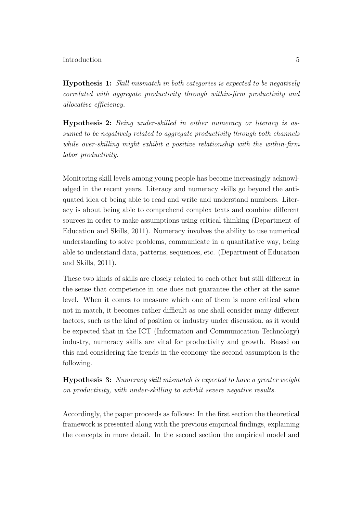Hypothesis 1: Skill mismatch in both categories is expected to be negatively correlated with aggregate productivity through within-firm productivity and allocative efficiency.

<span id="page-12-1"></span>Hypothesis 2: Being under-skilled in either numeracy or literacy is assumed to be negatively related to aggregate productivity through both channels while over-skilling might exhibit a positive relationship with the within-firm labor productivity.

Monitoring skill levels among young people has become increasingly acknowledged in the recent years. Literacy and numeracy skills go beyond the antiquated idea of being able to read and write and understand numbers. Literacy is about being able to comprehend complex texts and combine different sources in order to make assumptions using critical thinking [\(Department of](#page-49-2) [Education and Skills, 2011\)](#page-49-2). Numeracy involves the ability to use numerical understanding to solve problems, communicate in a quantitative way, being able to understand data, patterns, sequences, etc. [\(Department of Education](#page-49-2) [and Skills, 2011\)](#page-49-2).

These two kinds of skills are closely related to each other but still different in the sense that competence in one does not guarantee the other at the same level. When it comes to measure which one of them is more critical when not in match, it becomes rather difficult as one shall consider many different factors, such as the kind of position or industry under discussion, as it would be expected that in the ICT (Information and Communication Technology) industry, numeracy skills are vital for productivity and growth. Based on this and considering the trends in the economy the second assumption is the following.

<span id="page-12-0"></span>Hypothesis 3: Numeracy skill mismatch is expected to have a greater weight on productivity, with under-skilling to exhibit severe negative results.

Accordingly, the paper proceeds as follows: In the first section the theoretical framework is presented along with the previous empirical findings, explaining the concepts in more detail. In the second section the empirical model and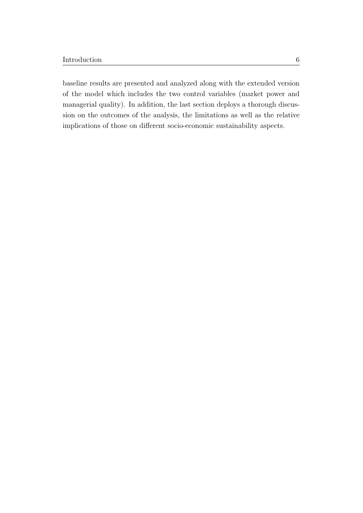baseline results are presented and analyzed along with the extended version of the model which includes the two control variables (market power and managerial quality). In addition, the last section deploys a thorough discussion on the outcomes of the analysis, the limitations as well as the relative implications of those on different socio-economic sustainability aspects.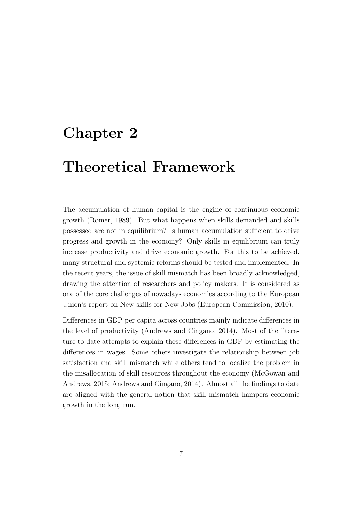### <span id="page-14-0"></span>Chapter 2

## Theoretical Framework

The accumulation of human capital is the engine of continuous economic growth [\(Romer, 1989\)](#page-52-1). But what happens when skills demanded and skills possessed are not in equilibrium? Is human accumulation sufficient to drive progress and growth in the economy? Only skills in equilibrium can truly increase productivity and drive economic growth. For this to be achieved, many structural and systemic reforms should be tested and implemented. In the recent years, the issue of skill mismatch has been broadly acknowledged, drawing the attention of researchers and policy makers. It is considered as one of the core challenges of nowadays economies according to the European Union's report on New skills for New Jobs [\(European Commission, 2010\)](#page-49-3).

<span id="page-14-1"></span>Differences in GDP per capita across countries mainly indicate differences in the level of productivity [\(Andrews and Cingano, 2014\)](#page-48-2). Most of the literature to date attempts to explain these differences in GDP by estimating the differences in wages. Some others investigate the relationship between job satisfaction and skill mismatch while others tend to localize the problem in the misallocation of skill resources throughout the economy [\(McGowan and](#page-51-1) [Andrews, 2015;](#page-51-1) [Andrews and Cingano, 2014\)](#page-48-2). Almost all the findings to date are aligned with the general notion that skill mismatch hampers economic growth in the long run.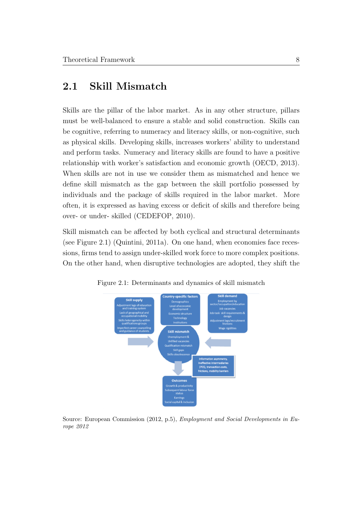### 2.1 Skill Mismatch

Skills are the pillar of the labor market. As in any other structure, pillars must be well-balanced to ensure a stable and solid construction. Skills can be cognitive, referring to numeracy and literacy skills, or non-cognitive, such as physical skills. Developing skills, increases workers' ability to understand and perform tasks. Numeracy and literacy skills are found to have a positive relationship with worker's satisfaction and economic growth [\(OECD, 2013\)](#page-51-3). When skills are not in use we consider them as mismatched and hence we define skill mismatch as the gap between the skill portfolio possessed by individuals and the package of skills required in the labor market. More often, it is expressed as having excess or deficit of skills and therefore being over- or under- skilled [\(CEDEFOP, 2010\)](#page-49-4).

Skill mismatch can be affected by both cyclical and structural determinants (see [Figure 2.1\)](#page-15-0) [\(Quintini, 2011a\)](#page-51-2). On one hand, when economies face recessions, firms tend to assign under-skilled work force to more complex positions. On the other hand, when disruptive technologies are adopted, they shift the



<span id="page-15-0"></span>Figure 2.1: Determinants and dynamics of skill mismatch

Source: [European Commission](#page-49-5) [\(2012,](#page-49-5) p.5), Employment and Social Developments in Europe 2012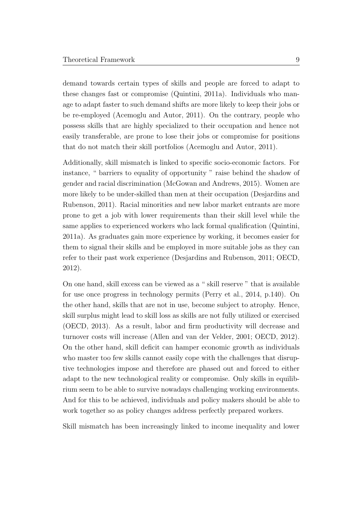demand towards certain types of skills and people are forced to adapt to these changes fast or compromise [\(Quintini, 2011a\)](#page-51-2). Individuals who manage to adapt faster to such demand shifts are more likely to keep their jobs or be re-employed [\(Acemoglu and Autor, 2011\)](#page-48-4). On the contrary, people who possess skills that are highly specialized to their occupation and hence not easily transferable, are prone to lose their jobs or compromise for positions that do not match their skill portfolios [\(Acemoglu and Autor, 2011\)](#page-48-4).

Additionally, skill mismatch is linked to specific socio-economic factors. For instance, " barriers to equality of opportunity " raise behind the shadow of gender and racial discrimination [\(McGowan and Andrews, 2015\)](#page-51-1). Women are more likely to be under-skilled than men at their occupation [\(Desjardins and](#page-49-6) [Rubenson, 2011\)](#page-49-6). Racial minorities and new labor market entrants are more prone to get a job with lower requirements than their skill level while the same applies to experienced workers who lack formal qualification [\(Quintini,](#page-51-2) [2011a\)](#page-51-2). As graduates gain more experience by working, it becomes easier for them to signal their skills and be employed in more suitable jobs as they can refer to their past work experience [\(Desjardins and Rubenson, 2011;](#page-49-6) [OECD,](#page-51-0) [2012\)](#page-51-0).

On one hand, skill excess can be viewed as a " skill reserve " that is available for use once progress in technology permits [\(Perry et al., 2014,](#page-51-6) p.140). On the other hand, skills that are not in use, become subject to atrophy. Hence, skill surplus might lead to skill loss as skills are not fully utilized or exercised [\(OECD, 2013\)](#page-51-3). As a result, labor and firm productivity will decrease and turnover costs will increase [\(Allen and van der Velder, 2001;](#page-48-1) [OECD, 2012\)](#page-51-0). On the other hand, skill deficit can hamper economic growth as individuals who master too few skills cannot easily cope with the challenges that disruptive technologies impose and therefore are phased out and forced to either adapt to the new technological reality or compromise. Only skills in equilibrium seem to be able to survive nowadays challenging working environments. And for this to be achieved, individuals and policy makers should be able to work together so as policy changes address perfectly prepared workers.

Skill mismatch has been increasingly linked to income inequality and lower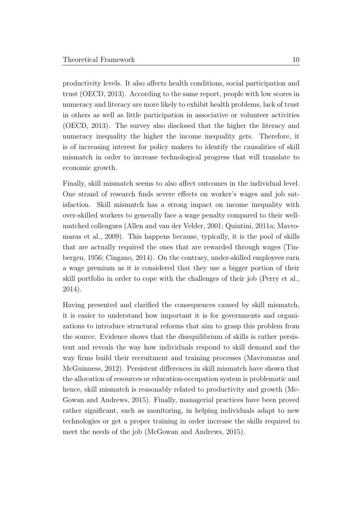productivity levels. It also affects health conditions, social participation and trust [\(OECD, 2013\)](#page-51-3). According to the same report, people with low scores in numeracy and literacy are more likely to exhibit health problems, lack of trust in others as well as little participation in associative or volunteer activities [\(OECD, 2013\)](#page-51-3). The survey also disclosed that the higher the literacy and numeracy inequality the higher the income inequality gets. Therefore, it is of increasing interest for policy makers to identify the causalities of skill mismatch in order to increase technological progress that will translate to economic growth.

Finally, skill mismatch seems to also affect outcomes in the individual level. One strand of research finds severe effects on worker's wages and job satisfaction. Skill mismatch has a strong impact on income inequality with over-skilled workers to generally face a wage penalty compared to their wellmatched colleagues [\(Allen and van der Velder, 2001;](#page-48-1) [Quintini, 2011a;](#page-51-2) [Mavro](#page-50-0)[maras et al., 2009\)](#page-50-0). This happens because, typically, it is the pool of skills that are actually required the ones that are rewarded through wages [\(Tin](#page-52-2)[bergen, 1956;](#page-52-2) [Cingano, 2014\)](#page-49-7). On the contrary, under-skilled employees earn a wage premium as it is considered that they use a bigger portion of their skill portfolio in order to cope with the challenges of their job [\(Perry et al.,](#page-51-6) [2014\)](#page-51-6).

<span id="page-17-0"></span>Having presented and clarified the consequences caused by skill mismatch, it is easier to understand how important it is for governments and organizations to introduce structural reforms that aim to grasp this problem from the source. Evidence shows that the disequilibrium of skills is rather persistent and reveals the way how individuals respond to skill demand and the way firms build their recruitment and training processes [\(Mavromaras and](#page-50-5) [McGuinness, 2012\)](#page-50-5). Persistent differences in skill mismatch have shown that the allocation of resources or education-occupation system is problematic and hence, skill mismatch is reasonably related to productivity and growth [\(Mc-](#page-51-1)[Gowan and Andrews, 2015\)](#page-51-1). Finally, managerial practices have been proved rather significant, such as monitoring, in helping individuals adapt to new technologies or get a proper training in order increase the skills required to meet the needs of the job [\(McGowan and Andrews, 2015\)](#page-51-1).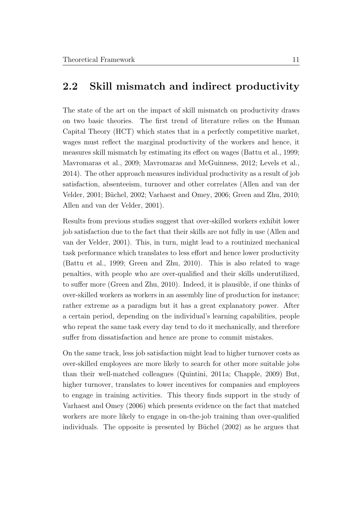#### 2.2 Skill mismatch and indirect productivity

The state of the art on the impact of skill mismatch on productivity draws on two basic theories. The first trend of literature relies on the Human Capital Theory (HCT) which states that in a perfectly competitive market, wages must reflect the marginal productivity of the workers and hence, it measures skill mismatch by estimating its effect on wages [\(Battu et al., 1999;](#page-48-3) [Mavromaras et al., 2009;](#page-50-0) [Mavromaras and McGuinness, 2012;](#page-50-5) [Levels et al.,](#page-50-6) [2014\)](#page-50-6). The other approach measures individual productivity as a result of job satisfaction, absenteeism, turnover and other correlates [\(Allen and van der](#page-48-1) [Velder, 2001;](#page-48-1) Büchel, 2002; [Varhaest and Omey, 2006;](#page-52-3) [Green and Zhu, 2010;](#page-50-7) [Allen and van der Velder, 2001\)](#page-48-1).

Results from previous studies suggest that over-skilled workers exhibit lower job satisfaction due to the fact that their skills are not fully in use [\(Allen and](#page-48-1) [van der Velder, 2001\)](#page-48-1). This, in turn, might lead to a routinized mechanical task performance which translates to less effort and hence lower productivity [\(Battu et al., 1999;](#page-48-3) [Green and Zhu, 2010\)](#page-50-7). This is also related to wage penalties, with people who are over-qualified and their skills underutilized, to suffer more [\(Green and Zhu, 2010\)](#page-50-7). Indeed, it is plausible, if one thinks of over-skilled workers as workers in an assembly line of production for instance; rather extreme as a paradigm but it has a great explanatory power. After a certain period, depending on the individual's learning capabilities, people who repeat the same task every day tend to do it mechanically, and therefore suffer from dissatisfaction and hence are prone to commit mistakes.

On the same track, less job satisfaction might lead to higher turnover costs as over-skilled employees are more likely to search for other more suitable jobs than their well-matched colleagues [\(Quintini, 2011a;](#page-51-2) [Chapple, 2009\)](#page-49-8) But, higher turnover, translates to lower incentives for companies and employees to engage in training activities. This theory finds support in the study of [Varhaest and Omey](#page-52-3) [\(2006\)](#page-52-3) which presents evidence on the fact that matched workers are more likely to engage in on-the-job training than over-qualified individuals. The opposite is presented by Büchel  $(2002)$  as he argues that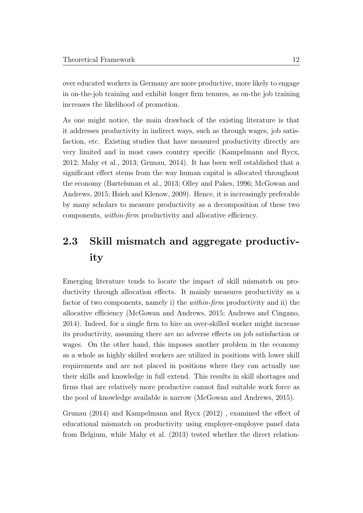over educated workers in Germany are more productive, more likely to engage in on-the-job training and exhibit longer firm tenures, as on-the job training increases the likelihood of promotion.

As one might notice, the main drawback of the existing literature is that it addresses productivity in indirect ways, such as through wages, job satisfaction, etc. Existing studies that have measured productivity directly are very limited and in most cases country specific [\(Kampelmann and Rycx,](#page-50-2) [2012;](#page-50-2) [Mahy et al., 2013;](#page-50-3) [Grunau, 2014\)](#page-50-8). It has been well established that a significant effect stems from the way human capital is allocated throughout the economy [\(Bartelsman et al., 2013;](#page-48-5) [Olley and Pakes, 1996;](#page-51-7) [McGowan and](#page-51-1) [Andrews, 2015;](#page-51-1) [Hsieh and Klenow, 2009\)](#page-50-9). Hence, it is increasingly preferable by many scholars to measure productivity as a decomposition of these two components, within-firm productivity and allocative efficiency.

### <span id="page-19-0"></span>2.3 Skill mismatch and aggregate productivity

Emerging literature tends to locate the impact of skill mismatch on productivity through allocation effects. It mainly measures productivity as a factor of two components, namely i) the within-firm productivity and ii) the allocative efficiency [\(McGowan and Andrews, 2015;](#page-51-1) [Andrews and Cingano,](#page-48-2) [2014\)](#page-48-2). Indeed, for a single firm to hire an over-skilled worker might increase its productivity, assuming there are no adverse effects on job satisfaction or wages. On the other hand, this imposes another problem in the economy as a whole as highly skilled workers are utilized in positions with lower skill requirements and are not placed in positions where they can actually use their skills and knowledge in full extend. This results in skill shortages and firms that are relatively more productive cannot find suitable work force as the pool of knowledge available is narrow [\(McGowan and Andrews, 2015\)](#page-51-1).

[Grunau](#page-50-8) [\(2014\)](#page-50-8) and [Kampelmann and Rycx](#page-50-2) [\(2012\)](#page-50-2) , examined the effect of educational mismatch on productivity using employer-employee panel data from Belgium, while [Mahy et al.](#page-50-3) [\(2013\)](#page-50-3) tested whether the direct relation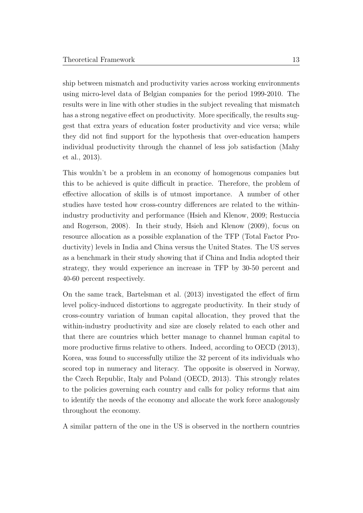ship between mismatch and productivity varies across working environments using micro-level data of Belgian companies for the period 1999-2010. The results were in line with other studies in the subject revealing that mismatch has a strong negative effect on productivity. More specifically, the results suggest that extra years of education foster productivity and vice versa; while they did not find support for the hypothesis that over-education hampers individual productivity through the channel of less job satisfaction [\(Mahy](#page-50-3) [et al., 2013\)](#page-50-3).

This wouldn't be a problem in an economy of homogenous companies but this to be achieved is quite difficult in practice. Therefore, the problem of effective allocation of skills is of utmost importance. A number of other studies have tested how cross-country differences are related to the withinindustry productivity and performance [\(Hsieh and Klenow, 2009;](#page-50-9) [Restuccia](#page-51-8) [and Rogerson, 2008\)](#page-51-8). In their study, [Hsieh and Klenow](#page-50-9) [\(2009\)](#page-50-9), focus on resource allocation as a possible explanation of the TFP (Total Factor Productivity) levels in India and China versus the United States. The US serves as a benchmark in their study showing that if China and India adopted their strategy, they would experience an increase in TFP by 30-50 percent and 40-60 percent respectively.

On the same track, [Bartelsman et al.](#page-48-5) [\(2013\)](#page-48-5) investigated the effect of firm level policy-induced distortions to aggregate productivity. In their study of cross-country variation of human capital allocation, they proved that the within-industry productivity and size are closely related to each other and that there are countries which better manage to channel human capital to more productive firms relative to others. Indeed, according to [OECD](#page-51-3) [\(2013\)](#page-51-3), Korea, was found to successfully utilize the 32 percent of its individuals who scored top in numeracy and literacy. The opposite is observed in Norway, the Czech Republic, Italy and Poland [\(OECD, 2013\)](#page-51-3). This strongly relates to the policies governing each country and calls for policy reforms that aim to identify the needs of the economy and allocate the work force analogously throughout the economy.

A similar pattern of the one in the US is observed in the northern countries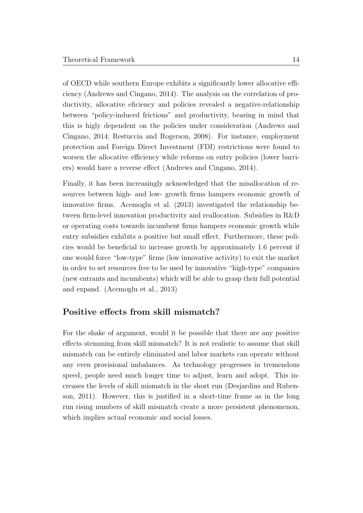of OECD while southern Europe exhibits a significantly lower allocative efficiency [\(Andrews and Cingano, 2014\)](#page-48-2). The analysis on the correlation of productivity, allocative eficiency and policies revealed a negative-relationship between "policy-induced frictions" and productivity, bearing in mind that this is higly dependent on the policies under consideration [\(Andrews and](#page-48-2) [Cingano, 2014;](#page-48-2) [Restuccia and Rogerson, 2008\)](#page-51-8). For instance, employment protection and Foreign Direct Investment (FDI) restrictions were found to worsen the allocative efficiency while reforms on entry policies (lower barriers) would have a reverse effect [\(Andrews and Cingano, 2014\)](#page-48-2).

Finally, it has been increasingly acknowledged that the misallocation of resources between high- and low- growth firms hampers economic growth of innovative firms. [Acemoglu et al.](#page-48-6) [\(2013\)](#page-48-6) investigated the relationship between firm-level innovation productivity and reallocation. Subsidies in R&D or operating costs towards incumbent firms hampers economic growth while entry subsidies exhibits a positive but small effect. Furthermore, these policies would be beneficial to increase growth by approximately 1.6 percent if one would force "low-type" firms (low innovative activity) to exit the market in order to set resources free to be used by innovative "high-type" companies (new entrants and incumbents) which will be able to grasp their full potential and expand. [\(Acemoglu et al., 2013\)](#page-48-6)

#### Positive effects from skill mismatch?

For the shake of argument, would it be possible that there are any positive effects stemming from skill mismatch? It is not realistic to assume that skill mismatch can be entirely eliminated and labor markets can operate without any even provisional imbalances. As technology progresses in tremendous speed, people need much longer time to adjust, learn and adopt. This increases the levels of skill mismatch in the short run [\(Desjardins and Ruben](#page-49-6)[son, 2011\)](#page-49-6). However, this is justified in a short-time frame as in the long run rising numbers of skill mismatch create a more persistent phenomenon, which implies actual economic and social losses.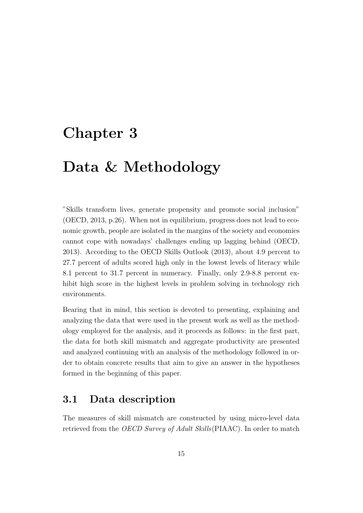### <span id="page-22-0"></span>Chapter 3

## Data & Methodology

"Skills transform lives, generate propensity and promote social inclusion" [\(OECD, 2013,](#page-51-3) p.26). When not in equilibrium, progress does not lead to economic growth, people are isolated in the margins of the society and economies cannot cope with nowadays' challenges ending up lagging behind [\(OECD,](#page-51-3) [2013\)](#page-51-3). According to the OECD Skills Outlook (2013), about 4.9 percent to 27.7 percent of adults scored high only in the lowest levels of literacy while 8.1 percent to 31.7 percent in numeracy. Finally, only 2.9-8.8 percent exhibit high score in the highest levels in problem solving in technology rich environments.

Bearing that in mind, this section is devoted to presenting, explaining and analyzing the data that were used in the present work as well as the methodology employed for the analysis, and it proceeds as follows: in the first part, the data for both skill mismatch and aggregate productivity are presented and analyzed continuing with an analysis of the methodology followed in order to obtain concrete results that aim to give an answer in the hypotheses formed in the beginning of this paper.

### <span id="page-22-1"></span>3.1 Data description

The measures of skill mismatch are constructed by using micro-level data retrieved from the OECD Survey of Adult Skills(PIAAC). In order to match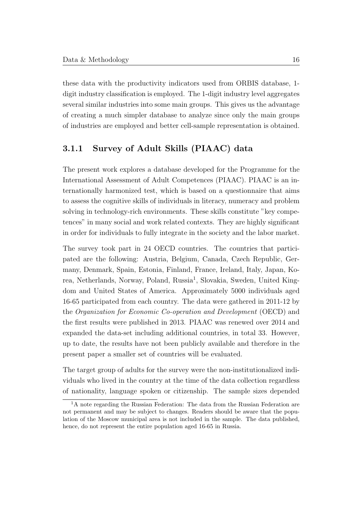these data with the productivity indicators used from ORBIS database, 1 digit industry classification is employed. The 1-digit industry level aggregates several similar industries into some main groups. This gives us the advantage of creating a much simpler database to analyze since only the main groups of industries are employed and better cell-sample representation is obtained.

#### <span id="page-23-0"></span>3.1.1 Survey of Adult Skills (PIAAC) data

The present work explores a database developed for the Programme for the International Assessment of Adult Competences (PIAAC). PIAAC is an internationally harmonized test, which is based on a questionnaire that aims to assess the cognitive skills of individuals in literacy, numeracy and problem solving in technology-rich environments. These skills constitute "key competences" in many social and work related contexts. They are highly significant in order for individuals to fully integrate in the society and the labor market.

The survey took part in 24 OECD countries. The countries that participated are the following: Austria, Belgium, Canada, Czech Republic, Germany, Denmark, Spain, Estonia, Finland, France, Ireland, Italy, Japan, Ko-rea, Netherlands, Norway, Poland, Russia<sup>[1](#page-23-1)</sup>, Slovakia, Sweden, United Kingdom and United States of America. Approximately 5000 individuals aged 16-65 participated from each country. The data were gathered in 2011-12 by the Organization for Economic Co-operation and Development (OECD) and the first results were published in 2013. PIAAC was renewed over 2014 and expanded the data-set including additional countries, in total 33. However, up to date, the results have not been publicly available and therefore in the present paper a smaller set of countries will be evaluated.

The target group of adults for the survey were the non-institutionalized individuals who lived in the country at the time of the data collection regardless of nationality, language spoken or citizenship. The sample sizes depended

<span id="page-23-1"></span><sup>&</sup>lt;sup>1</sup>A note regarding the Russian Federation: The data from the Russian Federation are not permanent and may be subject to changes. Readers should be aware that the population of the Moscow municipal area is not included in the sample. The data published, hence, do not represent the entire population aged 16-65 in Russia.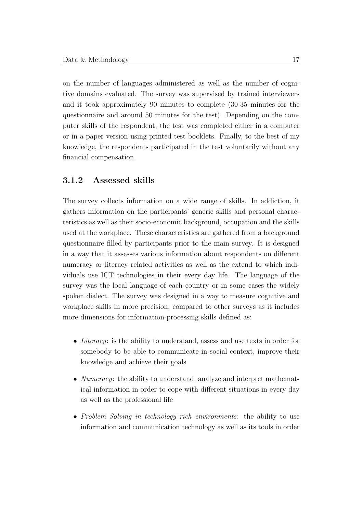on the number of languages administered as well as the number of cognitive domains evaluated. The survey was supervised by trained interviewers and it took approximately 90 minutes to complete (30-35 minutes for the questionnaire and around 50 minutes for the test). Depending on the computer skills of the respondent, the test was completed either in a computer or in a paper version using printed test booklets. Finally, to the best of my knowledge, the respondents participated in the test voluntarily without any financial compensation.

#### <span id="page-24-0"></span>3.1.2 Assessed skills

The survey collects information on a wide range of skills. In addiction, it gathers information on the participants' generic skills and personal characteristics as well as their socio-economic background, occupation and the skills used at the workplace. These characteristics are gathered from a background questionnaire filled by participants prior to the main survey. It is designed in a way that it assesses various information about respondents on different numeracy or literacy related activities as well as the extend to which individuals use ICT technologies in their every day life. The language of the survey was the local language of each country or in some cases the widely spoken dialect. The survey was designed in a way to measure cognitive and workplace skills in more precision, compared to other surveys as it includes more dimensions for information-processing skills defined as:

- Literacy: is the ability to understand, assess and use texts in order for somebody to be able to communicate in social context, improve their knowledge and achieve their goals
- *Numeracy*: the ability to understand, analyze and interpret mathematical information in order to cope with different situations in every day as well as the professional life
- Problem Solving in technology rich environments: the ability to use information and communication technology as well as its tools in order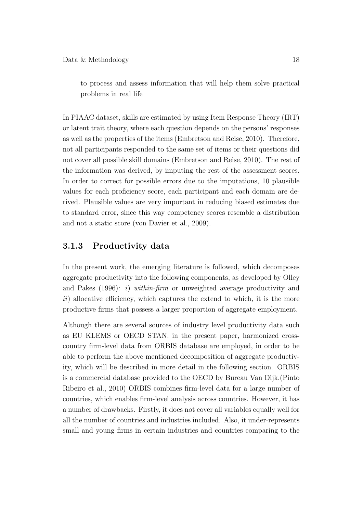to process and assess information that will help them solve practical problems in real life

In PIAAC dataset, skills are estimated by using Item Response Theory (IRT) or latent trait theory, where each question depends on the persons' responses as well as the properties of the items [\(Embretson and Reise, 2010\)](#page-49-9). Therefore, not all participants responded to the same set of items or their questions did not cover all possible skill domains [\(Embretson and Reise, 2010\)](#page-49-9). The rest of the information was derived, by imputing the rest of the assessment scores. In order to correct for possible errors due to the imputations, 10 plausible values for each proficiency score, each participant and each domain are derived. Plausible values are very important in reducing biased estimates due to standard error, since this way competency scores resemble a distribution and not a static score [\(von Davier et al., 2009\)](#page-52-4).

#### <span id="page-25-0"></span>3.1.3 Productivity data

In the present work, the emerging literature is followed, which decomposes aggregate productivity into the following components, as developed by [Olley](#page-51-7) [and Pakes](#page-51-7)  $(1996): i)$  $(1996): i)$  within-firm or unweighted average productivity and  $ii)$  allocative efficiency, which captures the extend to which, it is the more productive firms that possess a larger proportion of aggregate employment.

Although there are several sources of industry level productivity data such as EU KLEMS or OECD STAN, in the present paper, harmonized crosscountry firm-level data from ORBIS database are employed, in order to be able to perform the above mentioned decomposition of aggregate productivity, which will be described in more detail in the following section. ORBIS is a commercial database provided to the OECD by Bureau Van Dijk.[\(Pinto](#page-51-9) [Ribeiro et al., 2010\)](#page-51-9) ORBIS combines firm-level data for a large number of countries, which enables firm-level analysis across countries. However, it has a number of drawbacks. Firstly, it does not cover all variables equally well for all the number of countries and industries included. Also, it under-represents small and young firms in certain industries and countries comparing to the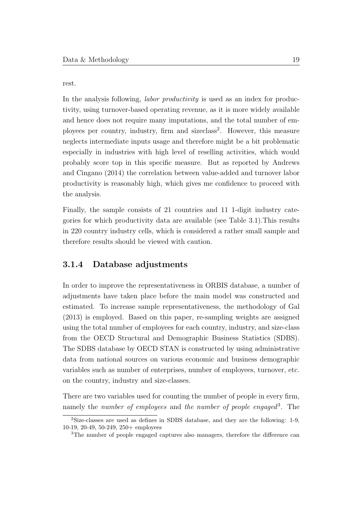rest.

In the analysis following, *labor productivity* is used as an index for productivity, using turnover-based operating revenue, as it is more widely available and hence does not require many imputations, and the total number of em-ployees per country, industry, firm and sizeclass<sup>[2](#page-26-1)</sup>. However, this measure neglects intermediate inputs usage and therefore might be a bit problematic especially in industries with high level of reselling activities, which would probably score top in this specific measure. But as reported by [Andrews](#page-48-2) [and Cingano](#page-48-2) [\(2014\)](#page-48-2) the correlation between value-added and turnover labor productivity is reasonably high, which gives me confidence to proceed with the analysis.

Finally, the sample consists of 21 countries and 11 1-digit industry categories for which productivity data are available (see [Table 3.1\)](#page-27-0).This results in 220 country industry cells, which is considered a rather small sample and therefore results should be viewed with caution.

#### <span id="page-26-0"></span>3.1.4 Database adjustments

In order to improve the representativeness in ORBIS database, a number of adjustments have taken place before the main model was constructed and estimated. To increase sample representativeness, the methodology of [Gal](#page-50-4) [\(2013\)](#page-50-4) is employed. Based on this paper, re-sampling weights are assigned using the total number of employees for each country, industry, and size-class from the OECD Structural and Demographic Business Statistics (SDBS). The SDBS database by OECD STAN is constructed by using administrative data from national sources on various economic and business demographic variables such as number of enterprises, number of employees, turnover, etc. on the country, industry and size-classes.

There are two variables used for counting the number of people in every firm, namely the *number of employees* and the *number of people engaged*<sup>[3](#page-26-2)</sup>. The

<span id="page-26-1"></span><sup>2</sup>Size-classes are used as defines in SDBS database, and they are the following: 1-9, 10-19, 20-49, 50-249, 250+ employees

<span id="page-26-2"></span><sup>&</sup>lt;sup>3</sup>The number of people engaged captures also managers, therefore the difference can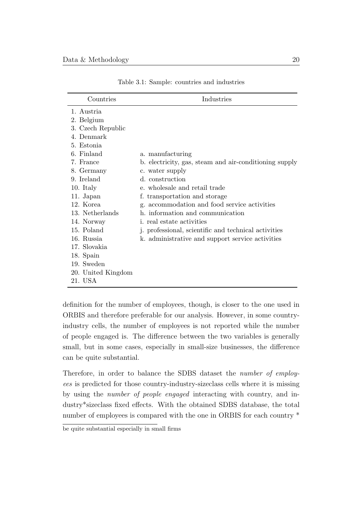<span id="page-27-0"></span>

| Countries                                                                                                                                                                                                                                                                                                        | Industries                                                                                                                                                                                                                                                                                                                                                                                                              |
|------------------------------------------------------------------------------------------------------------------------------------------------------------------------------------------------------------------------------------------------------------------------------------------------------------------|-------------------------------------------------------------------------------------------------------------------------------------------------------------------------------------------------------------------------------------------------------------------------------------------------------------------------------------------------------------------------------------------------------------------------|
| 1. Austria<br>2. Belgium<br>3. Czech Republic<br>4. Denmark<br>5. Estonia<br>6. Finland<br>7. France<br>8. Germany<br>9. Ireland<br>10. Italy<br>11. Japan<br>12. Korea<br>13. Netherlands<br>14. Norway<br>15. Poland<br>16. Russia<br>17. Slovakia<br>18. Spain<br>19. Sweden<br>20. United Kingdom<br>21. USA | a. manufacturing<br>b. electricity, gas, steam and air-conditioning supply<br>c. water supply<br>d. construction<br>e. wholes ale and retail trade<br>f. transportation and storage<br>g. accommodation and food service activities<br>h. information and communication<br><i>i.</i> real estate activities<br>j. professional, scientific and technical activities<br>k. administrative and support service activities |

Table 3.1: Sample: countries and industries

definition for the number of employees, though, is closer to the one used in ORBIS and therefore preferable for our analysis. However, in some countryindustry cells, the number of employees is not reported while the number of people engaged is. The difference between the two variables is generally small, but in some cases, especially in small-size businesses, the difference can be quite substantial.

Therefore, in order to balance the SDBS dataset the number of employees is predicted for those country-industry-sizeclass cells where it is missing by using the number of people engaged interacting with country, and industry\*sizeclass fixed effects. With the obtained SDBS database, the total number of employees is compared with the one in ORBIS for each country  $*$ 

be quite substantial especially in small firms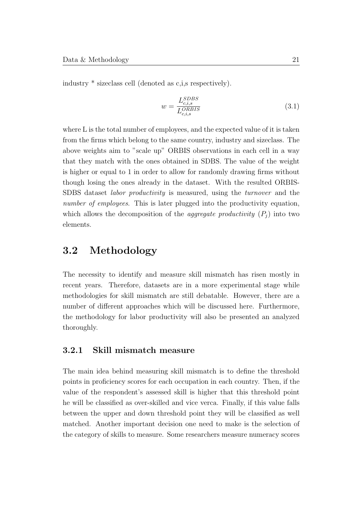industry \* sizeclass cell (denoted as c,i,s respectively).

$$
w = \frac{L_{c,i,s}^{SDBS}}{L_{c,i,s}^{ORBIS}}\tag{3.1}
$$

where L is the total number of employees, and the expected value of it is taken from the firms which belong to the same country, industry and sizeclass. The above weights aim to "scale up" ORBIS observations in each cell in a way that they match with the ones obtained in SDBS. The value of the weight is higher or equal to 1 in order to allow for randomly drawing firms without though losing the ones already in the dataset. With the resulted ORBIS-SDBS dataset labor productivity is measured, using the turnover and the number of employees. This is later plugged into the productivity equation, which allows the decomposition of the *aggregate productivity*  $(P_i)$  into two elements.

### <span id="page-28-0"></span>3.2 Methodology

The necessity to identify and measure skill mismatch has risen mostly in recent years. Therefore, datasets are in a more experimental stage while methodologies for skill mismatch are still debatable. However, there are a number of different approaches which will be discussed here. Furthermore, the methodology for labor productivity will also be presented an analyzed thoroughly.

#### <span id="page-28-1"></span>3.2.1 Skill mismatch measure

The main idea behind measuring skill mismatch is to define the threshold points in proficiency scores for each occupation in each country. Then, if the value of the respondent's assessed skill is higher that this threshold point he will be classified as over-skilled and vice verca. Finally, if this value falls between the upper and down threshold point they will be classified as well matched. Another important decision one need to make is the selection of the category of skills to measure. Some researchers measure numeracy scores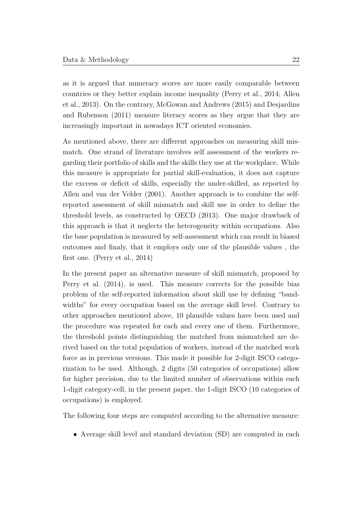as it is argued that numeracy scores are more easily comparable between countries or they better explain income inequality [\(Perry et al., 2014;](#page-51-6) [Allen](#page-48-7) [et al., 2013\)](#page-48-7). On the contrary, [McGowan and Andrews](#page-51-1) [\(2015\)](#page-51-1) and [Desjardins](#page-49-6) [and Rubenson](#page-49-6) [\(2011\)](#page-49-6) measure literacy scores as they argue that they are increasingly important in nowadays ICT oriented economies.

As mentioned above, there are different approaches on measuring skill mismatch. One strand of literature involves self assessment of the workers regarding their portfolio of skills and the skills they use at the workplace. While this measure is appropriate for partial skill-evaluation, it does not capture the exceess or deficit of skills, especially the under-skilled, as reported by [Allen and van der Velder](#page-48-1) [\(2001\)](#page-48-1). Another approach is to combine the selfreported assessment of skill mismatch and skill use in order to define the threshold levels, as constructed by [OECD](#page-51-3) [\(2013\)](#page-51-3). One major drawback of this approach is that it neglects the heterogeneity within occupations. Also the base population is measured by self-assessment which can result in biased outcomes and finaly, that it employs only one of the plausible values , the first one. [\(Perry et al., 2014\)](#page-51-6)

In the present paper an alternative measure of skill mismatch, proposed by [Perry et al.](#page-51-6) [\(2014\)](#page-51-6), is used. This measure corrects for the possible bias problem of the self-reported information about skill use by defining "bandwidths" for every occupation based on the average skill level. Contrary to other approaches mentioned above, 10 plausible values have been used and the procedure was repeated for each and every one of them. Furthermore, the threshold points distinguishing the matched from mismatched are derived based on the total population of workers, instead of the matched work force as in previous versions. This made it possible for 2-digit ISCO categorization to be used. Although, 2 digits (50 categories of occupations) allow for higher precision, due to the limited number of observations within each 1-digit category-cell, in the present paper, the 1-digit ISCO (10 categories of occupations) is employed.

The following four steps are computed according to the alternative measure:

• Average skill level and standard deviation (SD) are computed in each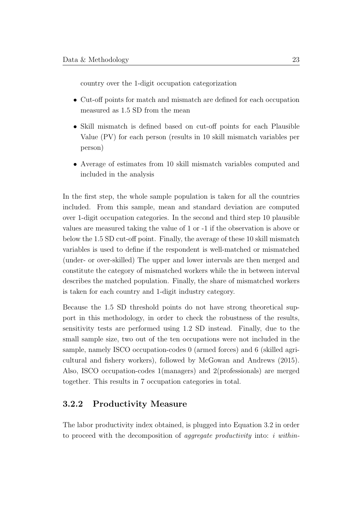country over the 1-digit occupation categorization

- Cut-off points for match and mismatch are defined for each occupation measured as 1.5 SD from the mean
- Skill mismatch is defined based on cut-off points for each Plausible Value (PV) for each person (results in 10 skill mismatch variables per person)
- Average of estimates from 10 skill mismatch variables computed and included in the analysis

In the first step, the whole sample population is taken for all the countries included. From this sample, mean and standard deviation are computed over 1-digit occupation categories. In the second and third step 10 plausible values are measured taking the value of 1 or -1 if the observation is above or below the 1.5 SD cut-off point. Finally, the average of these 10 skill mismatch variables is used to define if the respondent is well-matched or mismatched (under- or over-skilled) The upper and lower intervals are then merged and constitute the category of mismatched workers while the in between interval describes the matched population. Finally, the share of mismatched workers is taken for each country and 1-digit industry category.

Because the 1.5 SD threshold points do not have strong theoretical support in this methodology, in order to check the robustness of the results, sensitivity tests are performed using 1.2 SD instead. Finally, due to the small sample size, two out of the ten occupations were not included in the sample, namely ISCO occupation-codes 0 (armed forces) and 6 (skilled agricultural and fishery workers), followed by [McGowan and Andrews](#page-51-1) [\(2015\)](#page-51-1). Also, ISCO occupation-codes 1(managers) and 2(professionals) are merged together. This results in 7 occupation categories in total.

#### <span id="page-30-0"></span>3.2.2 Productivity Measure

The labor productivity index obtained, is plugged into [Equation 3.2](#page-31-0) in order to proceed with the decomposition of *aggregate productivity* into: *i within*-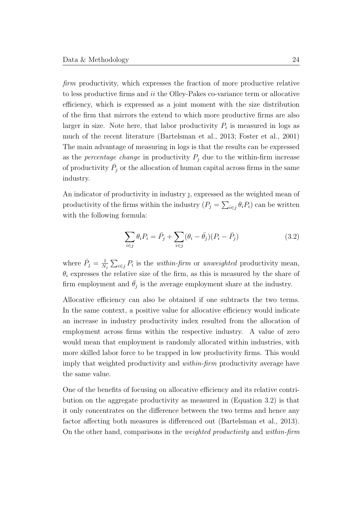firm productivity, which expresses the fraction of more productive relative to less productive firms and ii the Olley-Pakes co-variance term or allocative efficiency, which is expressed as a joint moment with the size distribution of the firm that mirrors the extend to which more productive firms are also larger in size. Note here, that labor productivity  $P_i$  is measured in logs as much of the recent literature [\(Bartelsman et al., 2013;](#page-48-5) [Foster et al., 2001\)](#page-50-10) The main advantage of measuring in logs is that the results can be expressed as the *percentage change* in productivity  $P_i$  due to the within-firm increase of productivity  $\bar{P}_j$  or the allocation of human capital across firms in the same industry.

An indicator of productivity in industry , expressed as the weighted mean of productivity of the firms within the industry  $(P_j = \sum_{i \in j} \theta_i P_i)$  can be written with the following formula:

<span id="page-31-0"></span>
$$
\sum_{i \in j} \theta_i P_i = \bar{P}_j + \sum_{i \in j} (\theta_i - \bar{\theta}_j)(P_i - \bar{P}_j)
$$
\n(3.2)

where  $\bar{P}_j = \frac{1}{N}$  $\frac{1}{N_j}\sum_{i\in j}P_i$  is the *within-firm* or unweighted productivity mean,  $\theta_i$  expresses the relative size of the firm, as this is measured by the share of firm employment and  $\bar{\theta}_j$  is the average employment share at the industry.

Allocative efficiency can also be obtained if one subtracts the two terms. In the same context, a positive value for allocative efficiency would indicate an increase in industry productivity index resulted from the allocation of employment across firms within the respective industry. A value of zero would mean that employment is randomly allocated within industries, with more skilled labor force to be trapped in low productivity firms. This would imply that weighted productivity and within-firm productivity average have the same value.

One of the benefits of focusing on allocative efficiency and its relative contribution on the aggregate productivity as measured in [\(Equation 3.2\)](#page-31-0) is that it only concentrates on the difference between the two terms and hence any factor affecting both measures is differenced out [\(Bartelsman et al., 2013\)](#page-48-5). On the other hand, comparisons in the weighted productivity and within-firm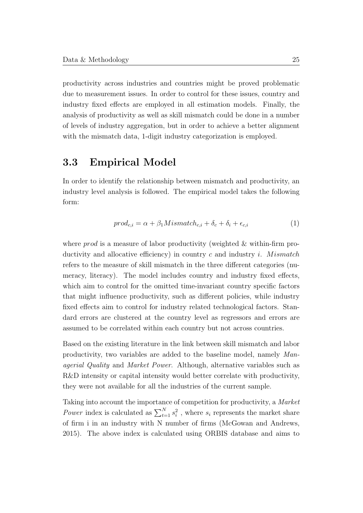productivity across industries and countries might be proved problematic due to measurement issues. In order to control for these issues, country and industry fixed effects are employed in all estimation models. Finally, the analysis of productivity as well as skill mismatch could be done in a number of levels of industry aggregation, but in order to achieve a better alignment with the mismatch data, 1-digit industry categorization is employed.

### <span id="page-32-0"></span>3.3 Empirical Model

In order to identify the relationship between mismatch and productivity, an industry level analysis is followed. The empirical model takes the following form:

$$
prod_{c,i} = \alpha + \beta_1 M is match_{c,i} + \delta_c + \delta_i + \epsilon_{c,i}
$$
\n(1)

where  $prod$  is a measure of labor productivity (weighted & within-firm productivity and allocative efficiency) in country c and industry i. Mismatch refers to the measure of skill mismatch in the three different categories (numeracy, literacy). The model includes country and industry fixed effects, which aim to control for the omitted time-invariant country specific factors that might influence productivity, such as different policies, while industry fixed effects aim to control for industry related technological factors. Standard errors are clustered at the country level as regressors and errors are assumed to be correlated within each country but not across countries.

Based on the existing literature in the link between skill mismatch and labor productivity, two variables are added to the baseline model, namely Managerial Quality and Market Power. Although, alternative variables such as R&D intensity or capital intensity would better correlate with productivity, they were not available for all the industries of the current sample.

Taking into account the importance of competition for productivity, a Market Power index is calculated as  $\sum_{t=1}^{N} s_i^2$ , where  $s_i$  represents the market share of firm i in an industry with N number of firms [\(McGowan and Andrews,](#page-51-1) [2015\)](#page-51-1). The above index is calculated using ORBIS database and aims to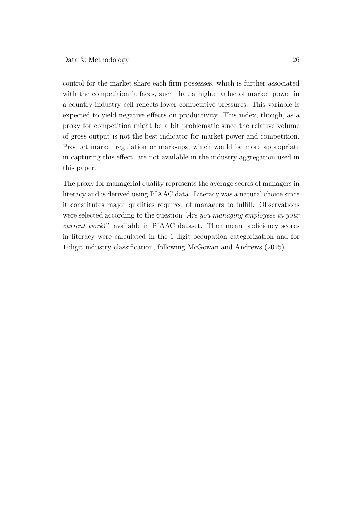control for the market share each firm possesses, which is further associated with the competition it faces, such that a higher value of market power in a country industry cell reflects lower competitive pressures. This variable is expected to yield negative effects on productivity. This index, though, as a proxy for competition might be a bit problematic since the relative volume of gross output is not the best indicator for market power and competition. Product market regulation or mark-ups, which would be more appropriate in capturing this effect, are not available in the industry aggregation used in this paper.

The proxy for managerial quality represents the average scores of managers in literacy and is derived using PIAAC data. Literacy was a natural choice since it constitutes major qualities required of managers to fulfill. Observations were selected according to the question 'Are you managing employees in your current work?' available in PIAAC dataset. Then mean proficiency scores in literacy were calculated in the 1-digit occupation categorization and for 1-digit industry classification, following [McGowan and Andrews](#page-51-1) [\(2015\)](#page-51-1).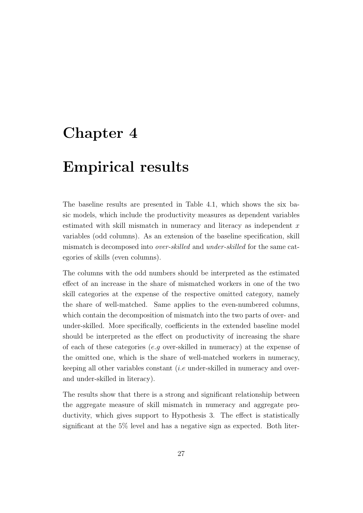### <span id="page-34-0"></span>Chapter 4

### Empirical results

The baseline results are presented in [Table 4.1,](#page-35-0) which shows the six basic models, which include the productivity measures as dependent variables estimated with skill mismatch in numeracy and literacy as independent x variables (odd columns). As an extension of the baseline specification, skill mismatch is decomposed into over-skilled and under-skilled for the same categories of skills (even columns).

The columns with the odd numbers should be interpreted as the estimated effect of an increase in the share of mismatched workers in one of the two skill categories at the expense of the respective omitted category, namely the share of well-matched. Same applies to the even-numbered columns, which contain the decomposition of mismatch into the two parts of over- and under-skilled. More specifically, coefficients in the extended baseline model should be interpreted as the effect on productivity of increasing the share of each of these categories (e.g over-skilled in numeracy) at the expense of the omitted one, which is the share of well-matched workers in numeracy, keeping all other variables constant (i.e under-skilled in numeracy and overand under-skilled in literacy).

The results show that there is a strong and significant relationship between the aggregate measure of skill mismatch in numeracy and aggregate productivity, which gives support to Hypothesis [3.](#page-12-0) The effect is statistically significant at the 5% level and has a negative sign as expected. Both liter-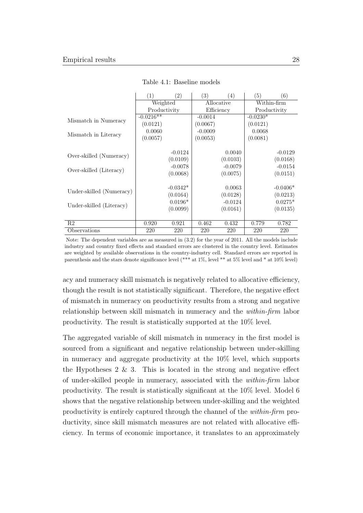<span id="page-35-0"></span>

|                          | (1)          | (2)        | (3)        | (4)       | (5)          | (6)        |
|--------------------------|--------------|------------|------------|-----------|--------------|------------|
|                          | Weighted     |            | Allocative |           | Within-firm  |            |
|                          | Productivity |            | Efficiency |           | Productivity |            |
| Mismatch in Numeracy     | $-0.0216**$  |            | $-0.0014$  |           | $-0.0230*$   |            |
|                          | (0.0121)     |            | (0.0067)   |           | (0.0121)     |            |
|                          | 0.0060       |            | $-0.0009$  |           | 0.0068       |            |
| Mismatch in Literacy     | (0.0057)     |            | (0.0053)   |           | (0.0081)     |            |
|                          |              |            |            |           |              |            |
|                          |              | $-0.0124$  |            | 0.0040    |              | $-0.0129$  |
| Over-skilled (Numeracy)  |              | (0.0109)   |            | (0.0103)  |              | (0.0168)   |
|                          |              | $-0.0078$  |            | $-0.0079$ |              | $-0.0154$  |
| Over-skilled (Literacy)  |              | (0.0068)   |            | (0.0075)  |              | (0.0151)   |
|                          |              |            |            |           |              |            |
|                          |              | $-0.0342*$ |            | 0.0063    |              | $-0.0406*$ |
| Under-skilled (Numeracy) |              | (0.0164)   |            | (0.0128)  |              | (0.0213)   |
|                          |              | $0.0196*$  |            | $-0.0124$ |              | $0.0275*$  |
| Under-skilled (Literacy) |              | (0.0099)   |            | (0.0161)  |              | (0.0135)   |
|                          |              |            |            |           |              |            |
| R <sub>2</sub>           | 0.920        | 0.921      | 0.462      | 0.432     | 0.779        | 0.782      |
| Observations             | 220          | 220        | 220        | 220       | 220          | 220        |

Table 4.1: Baseline models

Note: The dependent variables are as measured in [\(3.2\)](#page-31-0) for the year of 2011. All the models include industry and country fixed effects and standard errors are clustered in the country level. Estimates are weighted by available observations in the country-industry cell. Standard errors are reported in parenthesis and the stars denote significance level (\*\*\* at 1%, level \*\* at 5% level and \* at 10% level)

acy and numeracy skill mismatch is negatively related to allocative efficiency, though the result is not statistically significant. Therefore, the negative effect of mismatch in numeracy on productivity results from a strong and negative relationship between skill mismatch in numeracy and the within-firm labor productivity. The result is statistically supported at the 10% level.

The aggregated variable of skill mismatch in numeracy in the first model is sourced from a significant and negative relationship between under-skilling in numeracy and aggregate productivity at the 10% level, which supports the Hypotheses  $2 \& 3$ . This is located in the strong and negative effect of under-skilled people in numeracy, associated with the within-firm labor productivity. The result is statistically significant at the 10% level. Model 6 shows that the negative relationship between under-skilling and the weighted productivity is entirely captured through the channel of the within-firm productivity, since skill mismatch measures are not related with allocative efficiency. In terms of economic importance, it translates to an approximately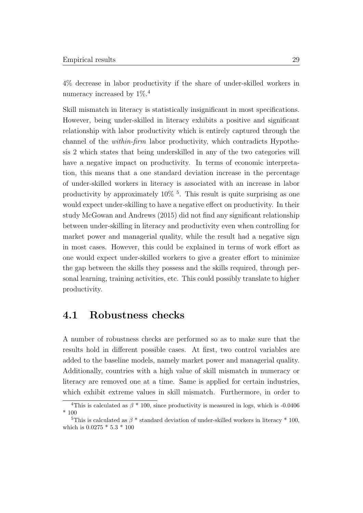4% decrease in labor productivity if the share of under-skilled workers in numeracy increased by  $1\%$ .<sup>[4](#page-36-1)</sup>

Skill mismatch in literacy is statistically insignificant in most specifications. However, being under-skilled in literacy exhibits a positive and significant relationship with labor productivity which is entirely captured through the channel of the within-firm labor productivity, which contradicts Hypothesis [2](#page-12-1) which states that being underskilled in any of the two categories will have a negative impact on productivity. In terms of economic interpretation, this means that a one standard deviation increase in the percentage of under-skilled workers in literacy is associated with an increase in labor productivity by approximately 10% [5](#page-36-2) . This result is quite surprising as one would expect under-skilling to have a negative effect on productivity. In their study [McGowan and Andrews](#page-51-1) [\(2015\)](#page-51-1) did not find any significant relationship between under-skilling in literacy and productivity even when controlling for market power and managerial quality, while the result had a negative sign in most cases. However, this could be explained in terms of work effort as one would expect under-skilled workers to give a greater effort to minimize the gap between the skills they possess and the skills required, through personal learning, training activities, etc. This could possibly translate to higher productivity.

#### <span id="page-36-0"></span>4.1 Robustness checks

A number of robustness checks are performed so as to make sure that the results hold in different possible cases. At first, two control variables are added to the baseline models, namely market power and managerial quality. Additionally, countries with a high value of skill mismatch in numeracy or literacy are removed one at a time. Same is applied for certain industries, which exhibit extreme values in skill mismatch. Furthermore, in order to

<span id="page-36-1"></span><sup>&</sup>lt;sup>4</sup>This is calculated as  $\beta$  \* 100, since productivity is measured in logs, which is -0.0406 \* 100

<span id="page-36-2"></span><sup>&</sup>lt;sup>5</sup>This is calculated as  $\beta$  \* standard deviation of under-skilled workers in literacy \* 100, which is 0.0275 \* 5.3 \* 100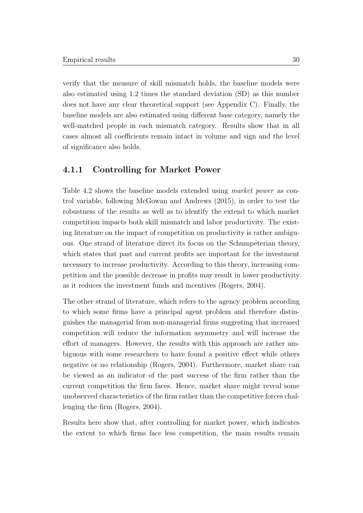verify that the measure of skill mismatch holds, the baseline models were also estimated using 1.2 times the standard deviation (SD) as this number does not have any clear theoretical support (see Appendix [C\)](#page-59-0). Finally, the baseline models are also estimated using different base category, namely the well-matched people in each mismatch category. Results show that in all cases almost all coefficients remain intact in volume and sign and the level of significance also holds.

#### <span id="page-37-0"></span>4.1.1 Controlling for Market Power

[Table 4.2](#page-38-0) shows the baseline models extended using market power as control variable, following [McGowan and Andrews](#page-51-1) [\(2015\)](#page-51-1), in order to test the robustness of the results as well as to identify the extend to which market competition impacts both skill mismatch and labor productivity. The existing literature on the impact of competition on productivity is rather ambiguous. One strand of literature direct its focus on the Schumpeterian theory, which states that past and current profits are important for the investment necessary to increase productivity. According to this theory, increasing competition and the possible decrease in profits may result in lower productivity as it reduces the investment funds and incentives [\(Rogers, 2004\)](#page-51-10).

The other strand of literature, which refers to the agency problem according to which some firms have a principal agent problem and therefore distinguishes the managerial from non-managerial firms suggesting that increased competition will reduce the information asymmetry and will increase the effort of managers. However, the results with this approach are rather ambiguous with some researchers to have found a positive effect while others negative or no relationship [\(Rogers, 2004\)](#page-51-10). Furthermore, market share can be viewed as an indicator of the past success of the firm rather than the current competition the firm faces. Hence, market share might reveal some unobserved characteristics of the firm rather than the competitive forces challenging the firm [\(Rogers, 2004\)](#page-51-10).

Results here show that, after controlling for market power, which indicates the extent to which firms face less competition, the main results remain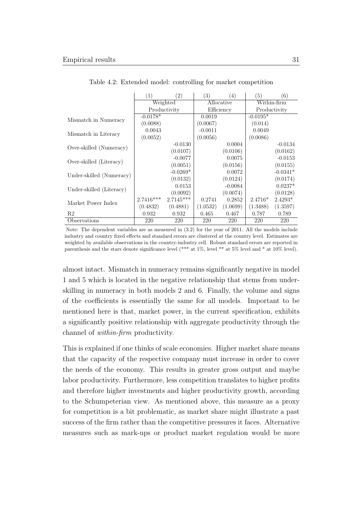<span id="page-38-0"></span>

|                          | (1)          | $\left( 2\right)$ | $\left(3\right)$ | (4)        | (5)          | (6)         |  |
|--------------------------|--------------|-------------------|------------------|------------|--------------|-------------|--|
|                          |              | Weighted          |                  | Allocative |              | Within-firm |  |
|                          | Productivity |                   |                  | Efficiency | Productivity |             |  |
|                          | $-0.0178*$   |                   | 0.0019           |            | $-0.0195*$   |             |  |
| Mismatch in Numeracy     | (0.0088)     |                   | (0.0067)         |            | (0.014)      |             |  |
|                          | 0.0043       |                   | $-0.0011$        |            | 0.0049       |             |  |
| Mismatch in Literacy     | (0.0052)     |                   | (0.0056)         |            | (0.0086)     |             |  |
|                          |              | $-0.0130$         |                  | 0.0004     |              | $-0.0134$   |  |
| Over-skilled (Numeracy)  |              | (0.0107)          |                  | (0.0106)   |              | (0.0162)    |  |
|                          |              | $-0.0077$         |                  | 0.0075     |              | $-0.0153$   |  |
| Over-skilled (Literacy)  |              | (0.0051)          |                  | (0.0156)   |              | (0.0155)    |  |
|                          |              | $-0.0269*$        |                  | 0.0072     |              | $-0.0341*$  |  |
| Under-skilled (Numeracy) |              | (0.0132)          |                  | (0.0124)   |              | (0.0174)    |  |
|                          |              | 0.0153            |                  | $-0.0084$  |              | $0.0237*$   |  |
| Under-skilled (Literacy) |              | (0.0092)          |                  | (0.0074)   |              | (0.0128)    |  |
|                          | $2.7416***$  | $2.7145***$       | 0.2741           | 0.2852     | $2.4716*$    | $2.4293*$   |  |
| Market Power Index       | (0.4832)     | (0.4881)          | (1.0532)         | (1.0699)   | (1.3488)     | (1.3597)    |  |
| R <sub>2</sub>           | 0.932        | 0.932             | 0.465            | 0.467      | 0.787        | 0.789       |  |
| Observations             | 220          | 220               | 220              | 220        | 220          | 220         |  |

Table 4.2: Extended model: controlling for market competition

Note: The dependent variables are as measured in [\(3.2\)](#page-31-0) for the year of 2011. All the models include industry and country fixed effects and standard errors are clustered at the country level. Estimates are weighted by available observations in the country-industry cell. Robust standard errors are reported in parenthesis and the stars denote significance level (\*\*\* at 1%, level \*\* at 5% level and \* at 10% level).

almost intact. Mismatch in numeracy remains significantly negative in model 1 and 5 which is located in the negative relationship that stems from underskilling in numeracy in both models 2 and 6. Finally, the volume and signs of the coefficients is essentially the same for all models. Important to be mentioned here is that, market power, in the current specification, exhibits a significantly positive relationship with aggregate productivity through the channel of within-firm productivity.

This is explained if one thinks of scale economies. Higher market share means that the capacity of the respective company must increase in order to cover the needs of the economy. This results in greater gross output and maybe labor productivity. Furthermore, less competition translates to higher profits and therefore higher investments and higher productivity growth, according to the Schumpeterian view. As mentioned above, this measure as a proxy for competition is a bit problematic, as market share might illustrate a past success of the firm rather than the competitive pressures it faces. Alternative measures such as mark-ups or product market regulation would be more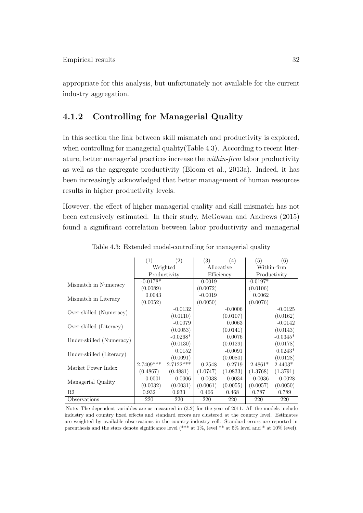appropriate for this analysis, but unfortunately not available for the current industry aggregation.

#### <span id="page-39-0"></span>4.1.2 Controlling for Managerial Quality

In this section the link between skill mismatch and productivity is explored, when controlling for managerial quality [\(Table 4.3\)](#page-39-1). According to recent literature, better managerial practices increase the within-firm labor productivity as well as the aggregate productivity [\(Bloom et al., 2013a\)](#page-49-10). Indeed, it has been increasingly acknowledged that better management of human resources results in higher productivity levels.

However, the effect of higher managerial quality and skill mismatch has not been extensively estimated. In their study, [McGowan and Andrews](#page-51-1) [\(2015\)](#page-51-1) found a significant correlation between labor productivity and managerial

<span id="page-39-1"></span>

|                          | (1)          | (2)         | (3)        | (4)        | (5)          | (6)        |
|--------------------------|--------------|-------------|------------|------------|--------------|------------|
|                          |              | Weighted    | Allocative |            | Within-firm  |            |
|                          | Productivity |             |            | Efficiency | Productivity |            |
|                          | $-0.0178*$   |             | 0.0019     |            | $-0.0197*$   |            |
| Mismatch in Numeracy     | (0.0089)     |             | (0.0072)   |            | (0.0106)     |            |
| Mismatch in Literacy     | 0.0043       |             | $-0.0019$  |            | 0.0062       |            |
|                          | (0.0052)     |             | (0.0050)   |            | (0.0076)     |            |
|                          |              | $-0.0132$   |            | $-0.0006$  |              | $-0.0125$  |
| Over-skilled (Numeracy)  |              | (0.0110)    |            | (0.0107)   |              | (0.0162)   |
|                          |              | $-0.0079$   |            | 0.0063     |              | $-0.0142$  |
| Over-skilled (Literacy)  |              | (0.0053)    |            | (0.0141)   |              | (0.0143)   |
|                          |              | $-0.0268*$  |            | 0.0076     |              | $-0.0345*$ |
| Under-skilled (Numeracy) |              | (0.0130)    |            | (0.0129)   |              | (0.0178)   |
|                          |              | 0.0152      |            | $-0.0091$  |              | $0.0243*$  |
| Under-skilled (Literacy) |              | (0.0091)    |            | (0.0080)   |              | (0.0128)   |
|                          | $2.7409***$  | $2.7122***$ | 0.2548     | 0.2719     | $2.4861*$    | $2.4403*$  |
| Market Power Index       | (0.4867)     | (0.4881)    | (1.0747)   | (1.0833)   | (1.3768)     | (1.3791)   |
|                          | 0.0001       | 0.0006      | 0.0038     | 0.0034     | $-0.0036$    | $-0.0028$  |
| Managerial Quality       | (0.0032)     | (0.0031)    | (0.0061)   | (0.0055)   | (0.0057)     | (0.0050)   |
| R <sub>2</sub>           | 0.932        | 0.933       | 0.466      | 0.468      | 0.787        | 0.789      |
| Observations             | 220          | 220         | 220        | 220        | 220          | 220        |

Table 4.3: Extended model-controlling for managerial quality

Note: The dependent variables are as measured in [\(3.2\)](#page-31-0) for the year of 2011. All the models include industry and country fixed effects and standard errors are clustered at the country level. Estimates are weighted by available observations in the country-industry cell. Standard errors are reported in parenthesis and the stars denote significance level (\*\*\* at 1%, level \*\* at 5% level and \* at 10% level).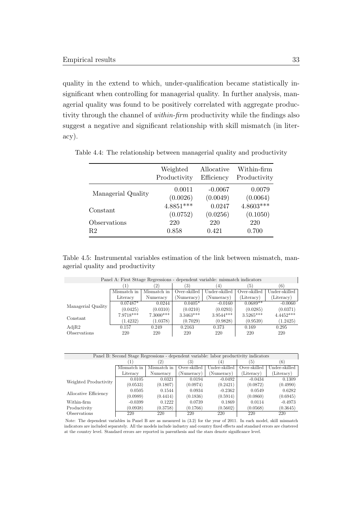quality in the extend to which, under-qualification became statistically insignificant when controlling for managerial quality. In further analysis, managerial quality was found to be positively correlated with aggregate productivity through the channel of *within-firm* productivity while the findings also suggest a negative and significant relationship with skill mismatch (in literacy).

|                    | Weighted     | Allocative | Within-firm  |
|--------------------|--------------|------------|--------------|
|                    | Productivity | Efficiency | Productivity |
| Managerial Quality | 0.0011       | $-0.0067$  | 0.0079       |
|                    | (0.0026)     | (0.0049)   | (0.0064)     |
| Constant           | $4.8851***$  | 0.0247     | $4.8603***$  |
|                    | (0.0752)     | (0.0256)   | (0.1050)     |
| Observations       | 220          | 220        | 220          |
| R <sub>2</sub>     | 0.858        | 0.421      | 0.700        |

<span id="page-40-0"></span>Table 4.4: The relationship between managerial quality and productivity

Table 4.5: Instrumental variables estimation of the link between mismatch, managerial quality and productivity

<span id="page-40-1"></span>

| Panel A: First Stage Regressions - dependent variable: mismatch indicators |             |             |              |               |              |               |  |  |  |
|----------------------------------------------------------------------------|-------------|-------------|--------------|---------------|--------------|---------------|--|--|--|
|                                                                            |             | (2)         | '3)          | 4             | 5.           | (6)           |  |  |  |
|                                                                            | Mismatch in | Mismatch in | Over-skilled | Under-skilled | Over-skilled | Under-skilled |  |  |  |
|                                                                            | Literacy    | Numeracy    | (Numeracy)   | (Numeracy)    | (Literacy)   | (Literacy)    |  |  |  |
|                                                                            | $0.07487*$  | 0.0244      | $0.0405*$    | $-0.0160$     | $0.0689**$   | $-0.0060$     |  |  |  |
| Managerial Quality                                                         | (0.0425)    | (0.0310)    | (0.0210)     | (0.0293)      | (0.0285)     | (0.0371)      |  |  |  |
| Constant                                                                   | 7.9718***   | $7.3000***$ | $3.3463***$  | $3.9544***$   | $3.5265***$  | $4.4452***$   |  |  |  |
|                                                                            | (1.4232)    | (1.0378)    | (0.7029)     | (0.9828)      | (0.9539)     | (1.2425)      |  |  |  |
| AdjR2                                                                      | 0.157       | 0.249       | 0.2163       | 0.373         | 0.169        | 0.295         |  |  |  |
| Observations                                                               | 220         | 220         | 220          | 220           | 220          | 220           |  |  |  |

| Panel B: Second Stage Regressions - dependent variable: labor productivity indicators |             |             |              |               |              |               |  |  |
|---------------------------------------------------------------------------------------|-------------|-------------|--------------|---------------|--------------|---------------|--|--|
|                                                                                       |             | (2)         | (3)          | $^{\prime}4)$ | '5)          | (6)           |  |  |
|                                                                                       | Mismatch in | Mismatch in | Over-skilled | Under-skilled | Over-skilled | Under-skilled |  |  |
|                                                                                       | Literacy    | Numeracy    | (Numeracy)   | (Numeracy)    | (Literacy)   | (Literacy)    |  |  |
| Weighted Productivity                                                                 | 0.0105      | 0.0321      | 0.0194       | $-0.0492$     | $-0.0434$    | 0.1309        |  |  |
|                                                                                       | (0.0533)    | (0.1807)    | (0.0974)     | (0.2421)      | (0.0872)     | (0.4990)      |  |  |
| Allocative Efficiency                                                                 | 0.0505      | 0.1544      | 0.0934       | $-0.2362$     | 0.0549       | 0.6282        |  |  |
|                                                                                       | (0.0989)    | (0.4414)    | (0.1836)     | (0.5914)      | (0.0860)     | (0.6945)      |  |  |
| Within-firm                                                                           | $-0.0399$   | 0.1222      | 0.0739       | 0.1869        | 0.0114       | $-0.4973$     |  |  |
| Productivity                                                                          | (0.0938)    | (0.3758)    | (0.1766)     | (0.5602)      | (0.0568)     | (0.3645)      |  |  |
| <b>Observations</b>                                                                   | 220         | 220         | 220          | 220           | 220          | 220           |  |  |

Note: The dependent variables in Panel B are as measured in [\(3.2\)](#page-31-0) for the year of 2011. In each model, skill mismatch indicators are included separately. All the models include industry and country fixed effects and standard errors are clustered at the country level. Standard errors are reported in parenthesis and the stars denote significance level.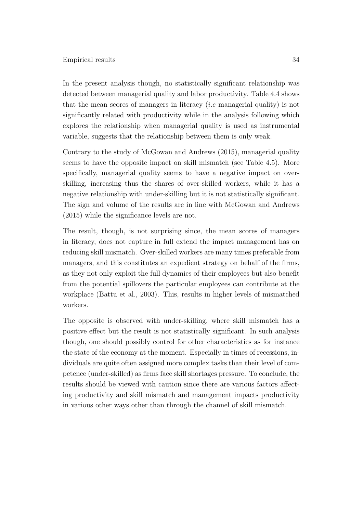In the present analysis though, no statistically significant relationship was detected between managerial quality and labor productivity. Table [4.4](#page-40-0) shows that the mean scores of managers in literacy *(i.e.* managerial quality) is not significantly related with productivity while in the analysis following which explores the relationship when managerial quality is used as instrumental variable, suggests that the relationship between them is only weak.

Contrary to the study of [McGowan and Andrews](#page-51-1) [\(2015\)](#page-51-1), managerial quality seems to have the opposite impact on skill mismatch (see [Table 4.5\)](#page-40-1). More specifically, managerial quality seems to have a negative impact on overskilling, increasing thus the shares of over-skilled workers, while it has a negative relationship with under-skilling but it is not statistically significant. The sign and volume of the results are in line with [McGowan and Andrews](#page-51-1) [\(2015\)](#page-51-1) while the significance levels are not.

The result, though, is not surprising since, the mean scores of managers in literacy, does not capture in full extend the impact management has on reducing skill mismatch. Over-skilled workers are many times preferable from managers, and this constitutes an expedient strategy on behalf of the firms, as they not only exploit the full dynamics of their employees but also benefit from the potential spillovers the particular employees can contribute at the workplace [\(Battu et al., 2003\)](#page-48-8). This, results in higher levels of mismatched workers.

The opposite is observed with under-skilling, where skill mismatch has a positive effect but the result is not statistically significant. In such analysis though, one should possibly control for other characteristics as for instance the state of the economy at the moment. Especially in times of recessions, individuals are quite often assigned more complex tasks than their level of competence (under-skilled) as firms face skill shortages pressure. To conclude, the results should be viewed with caution since there are various factors affecting productivity and skill mismatch and management impacts productivity in various other ways other than through the channel of skill mismatch.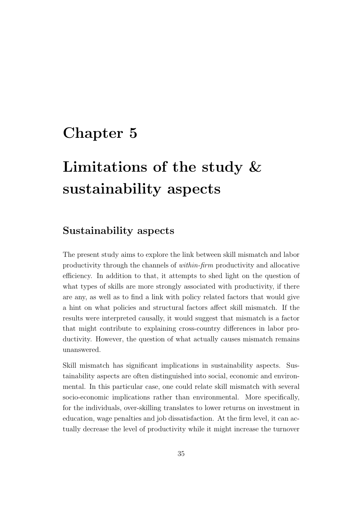### <span id="page-42-0"></span>Chapter 5

# Limitations of the study & sustainability aspects

### Sustainability aspects

The present study aims to explore the link between skill mismatch and labor productivity through the channels of within-firm productivity and allocative efficiency. In addition to that, it attempts to shed light on the question of what types of skills are more strongly associated with productivity, if there are any, as well as to find a link with policy related factors that would give a hint on what policies and structural factors affect skill mismatch. If the results were interpreted causally, it would suggest that mismatch is a factor that might contribute to explaining cross-country differences in labor productivity. However, the question of what actually causes mismatch remains unanswered.

Skill mismatch has significant implications in sustainability aspects. Sustainability aspects are often distinguished into social, economic and environmental. In this particular case, one could relate skill mismatch with several socio-economic implications rather than environmental. More specifically, for the individuals, over-skilling translates to lower returns on investment in education, wage penalties and job dissatisfaction. At the firm level, it can actually decrease the level of productivity while it might increase the turnover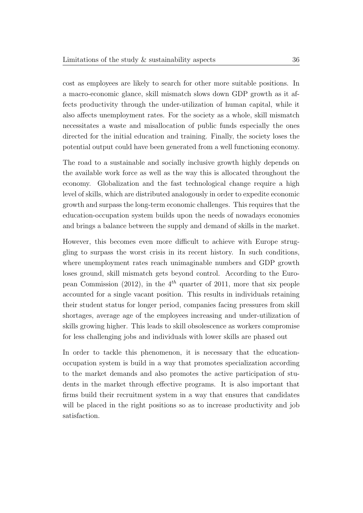cost as employees are likely to search for other more suitable positions. In a macro-economic glance, skill mismatch slows down GDP growth as it affects productivity through the under-utilization of human capital, while it also affects unemployment rates. For the society as a whole, skill mismatch necessitates a waste and misallocation of public funds especially the ones directed for the initial education and training. Finally, the society loses the potential output could have been generated from a well functioning economy.

The road to a sustainable and socially inclusive growth highly depends on the available work force as well as the way this is allocated throughout the economy. Globalization and the fast technological change require a high level of skills, which are distributed analogously in order to expedite economic growth and surpass the long-term economic challenges. This requires that the education-occupation system builds upon the needs of nowadays economies and brings a balance between the supply and demand of skills in the market.

However, this becomes even more difficult to achieve with Europe struggling to surpass the worst crisis in its recent history. In such conditions, where unemployment rates reach unimaginable numbers and GDP growth loses ground, skill mismatch gets beyond control. According to the [Euro](#page-49-5)[pean Commission](#page-49-5) [\(2012\)](#page-49-5), in the  $4^{th}$  quarter of 2011, more that six people accounted for a single vacant position. This results in individuals retaining their student status for longer period, companies facing pressures from skill shortages, average age of the employees increasing and under-utilization of skills growing higher. This leads to skill obsolescence as workers compromise for less challenging jobs and individuals with lower skills are phased out

In order to tackle this phenomenon, it is necessary that the educationoccupation system is build in a way that promotes specialization according to the market demands and also promotes the active participation of students in the market through effective programs. It is also important that firms build their recruitment system in a way that ensures that candidates will be placed in the right positions so as to increase productivity and job satisfaction.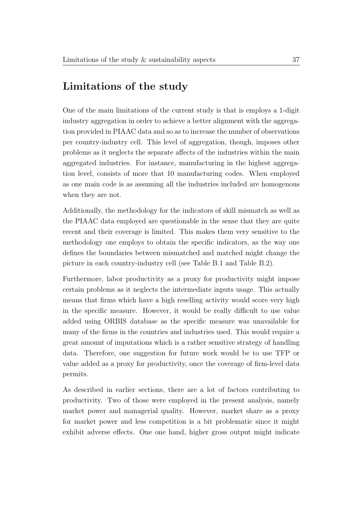### Limitations of the study

One of the main limitations of the current study is that is employs a 1-digit industry aggregation in order to achieve a better alignment with the aggregation provided in PIAAC data and so as to increase the number of observations per country-industry cell. This level of aggregation, though, imposes other problems as it neglects the separate affects of the industries within the main aggregated industries. For instance, manufacturing in the highest aggregation level, consists of more that 10 manufacturing codes. When employed as one main code is as assuming all the industries included are homogenous when they are not.

Additionally, the methodology for the indicators of skill mismatch as well as the PIAAC data employed are questionable in the sense that they are quite recent and their coverage is limited. This makes them very sensitive to the methodology one employs to obtain the specific indicators, as the way one defines the boundaries between mismatched and matched might change the picture in each country-industry cell (see [Table B.1](#page-55-1) and [Table B.2\)](#page-56-0).

Furthermore, labor productivity as a proxy for productivity might impose certain problems as it neglects the intermediate inputs usage. This actually means that firms which have a high reselling activity would score very high in the specific measure. However, it would be really difficult to use value added using ORBIS database as the specific measure was unavailable for many of the firms in the countries and industries used. This would require a great amount of imputations which is a rather sensitive strategy of handling data. Therefore, one suggestion for future work would be to use TFP or value added as a proxy for productivity, once the coverage of firm-level data permits.

As described in earlier sections, there are a lot of factors contributing to productivity. Two of those were employed in the present analysis, namely market power and managerial quality. However, market share as a proxy for market power and less competition is a bit problematic since it might exhibit adverse effects. One one hand, higher gross output might indicate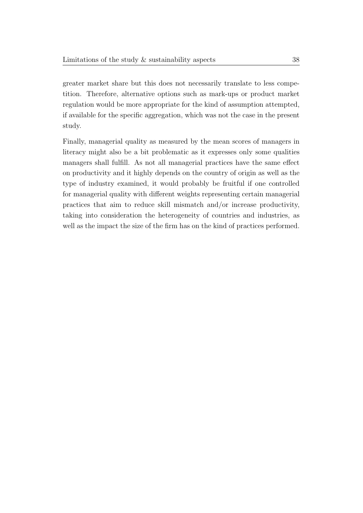greater market share but this does not necessarily translate to less competition. Therefore, alternative options such as mark-ups or product market regulation would be more appropriate for the kind of assumption attempted, if available for the specific aggregation, which was not the case in the present study.

Finally, managerial quality as measured by the mean scores of managers in literacy might also be a bit problematic as it expresses only some qualities managers shall fulfill. As not all managerial practices have the same effect on productivity and it highly depends on the country of origin as well as the type of industry examined, it would probably be fruitful if one controlled for managerial quality with different weights representing certain managerial practices that aim to reduce skill mismatch and/or increase productivity, taking into consideration the heterogeneity of countries and industries, as well as the impact the size of the firm has on the kind of practices performed.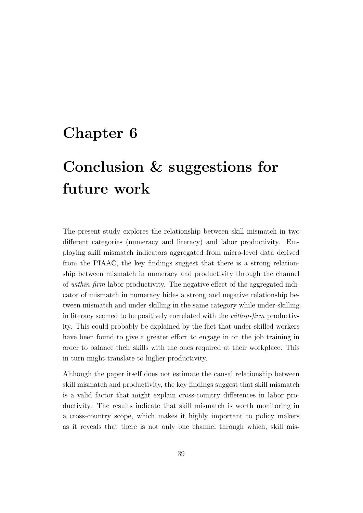### <span id="page-46-0"></span>Chapter 6

# Conclusion & suggestions for future work

The present study explores the relationship between skill mismatch in two different categories (numeracy and literacy) and labor productivity. Employing skill mismatch indicators aggregated from micro-level data derived from the PIAAC, the key findings suggest that there is a strong relationship between mismatch in numeracy and productivity through the channel of within-firm labor productivity. The negative effect of the aggregated indicator of mismatch in numeracy hides a strong and negative relationship between mismatch and under-skilling in the same category while under-skilling in literacy seemed to be positively correlated with the within-firm productivity. This could probably be explained by the fact that under-skilled workers have been found to give a greater effort to engage in on the job training in order to balance their skills with the ones required at their workplace. This in turn might translate to higher productivity.

Although the paper itself does not estimate the causal relationship between skill mismatch and productivity, the key findings suggest that skill mismatch is a valid factor that might explain cross-country differences in labor productivity. The results indicate that skill mismatch is worth monitoring in a cross-country scope, which makes it highly important to policy makers as it reveals that there is not only one channel through which, skill mis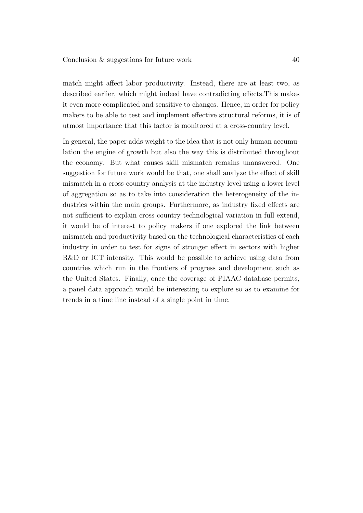match might affect labor productivity. Instead, there are at least two, as described earlier, which might indeed have contradicting effects.This makes it even more complicated and sensitive to changes. Hence, in order for policy makers to be able to test and implement effective structural reforms, it is of utmost importance that this factor is monitored at a cross-country level.

In general, the paper adds weight to the idea that is not only human accumulation the engine of growth but also the way this is distributed throughout the economy. But what causes skill mismatch remains unanswered. One suggestion for future work would be that, one shall analyze the effect of skill mismatch in a cross-country analysis at the industry level using a lower level of aggregation so as to take into consideration the heterogeneity of the industries within the main groups. Furthermore, as industry fixed effects are not sufficient to explain cross country technological variation in full extend, it would be of interest to policy makers if one explored the link between mismatch and productivity based on the technological characteristics of each industry in order to test for signs of stronger effect in sectors with higher R&D or ICT intensity. This would be possible to achieve using data from countries which run in the frontiers of progress and development such as the United States. Finally, once the coverage of PIAAC database permits, a panel data approach would be interesting to explore so as to examine for trends in a time line instead of a single point in time.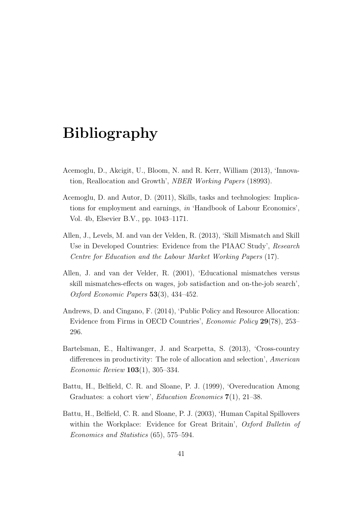## <span id="page-48-0"></span>Bibliography

- <span id="page-48-6"></span>Acemoglu, D., Akcigit, U., Bloom, N. and R. Kerr, William (2013), 'Innovation, Reallocation and Growth', NBER Working Papers (18993).
- <span id="page-48-4"></span>Acemoglu, D. and Autor, D. (2011), Skills, tasks and technologies: Implications for employment and earnings, in 'Handbook of Labour Economics', Vol. 4b, Elsevier B.V., pp. 1043–1171.
- <span id="page-48-7"></span>Allen, J., Levels, M. and van der Velden, R. (2013), 'Skill Mismatch and Skill Use in Developed Countries: Evidence from the PIAAC Study', Research Centre for Education and the Labour Market Working Papers (17).
- <span id="page-48-1"></span>Allen, J. and van der Velder, R. (2001), 'Educational mismatches versus skill mismatches-effects on wages, job satisfaction and on-the-job search', Oxford Economic Papers 53(3), 434–452.
- <span id="page-48-2"></span>Andrews, D. and Cingano, F. (2014), 'Public Policy and Resource Allocation: Evidence from Firms in OECD Countries', Economic Policy 29(78), 253– 296.
- <span id="page-48-5"></span>Bartelsman, E., Haltiwanger, J. and Scarpetta, S. (2013), 'Cross-country differences in productivity: The role of allocation and selection', American Economic Review 103(1), 305–334.
- <span id="page-48-3"></span>Battu, H., Belfield, C. R. and Sloane, P. J. (1999), 'Overeducation Among Graduates: a cohort view', Education Economics 7(1), 21–38.
- <span id="page-48-8"></span>Battu, H., Belfield, C. R. and Sloane, P. J. (2003), 'Human Capital Spillovers within the Workplace: Evidence for Great Britain', Oxford Bulletin of Economics and Statistics (65), 575–594.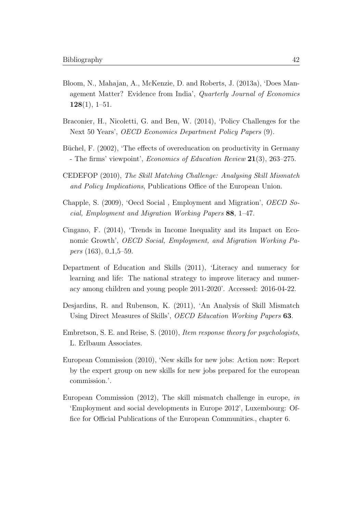- <span id="page-49-10"></span>Bloom, N., Mahajan, A., McKenzie, D. and Roberts, J. (2013a), 'Does Management Matter? Evidence from India', Quarterly Journal of Economics  $128(1), 1-51.$
- <span id="page-49-0"></span>Braconier, H., Nicoletti, G. and Ben, W. (2014), 'Policy Challenges for the Next 50 Years', OECD Economics Department Policy Papers (9).
- <span id="page-49-1"></span>Büchel, F. (2002), 'The effects of overeducation on productivity in Germany - The firms' viewpoint', *Economics of Education Review* 21(3), 263–275.
- <span id="page-49-4"></span>CEDEFOP (2010), The Skill Matching Challenge: Analysing Skill Mismatch and Policy Implications, Publications Office of the European Union.
- <span id="page-49-8"></span>Chapple, S. (2009), 'Oecd Social , Employment and Migration', OECD Social, Employment and Migration Working Papers 88, 1–47.
- <span id="page-49-7"></span>Cingano, F. (2014), 'Trends in Income Inequality and its Impact on Economic Growth', OECD Social, Employment, and Migration Working Papers  $(163)$ ,  $0-1,5-59$ .
- <span id="page-49-2"></span>Department of Education and Skills (2011), 'Literacy and numeracy for learning and life: The national strategy to improve literacy and numeracy among children and young people 2011-2020'. Accessed: 2016-04-22.
- <span id="page-49-6"></span>Desjardins, R. and Rubenson, K. (2011), 'An Analysis of Skill Mismatch Using Direct Measures of Skills', OECD Education Working Papers 63.
- <span id="page-49-9"></span>Embretson, S. E. and Reise, S. (2010), Item response theory for psychologists, L. Erlbaum Associates.
- <span id="page-49-3"></span>European Commission (2010), 'New skills for new jobs: Action now: Report by the expert group on new skills for new jobs prepared for the european commission.'.
- <span id="page-49-5"></span>European Commission (2012), The skill mismatch challenge in europe, in 'Employment and social developments in Europe 2012', Luxembourg: Office for Official Publications of the European Communities., chapter 6.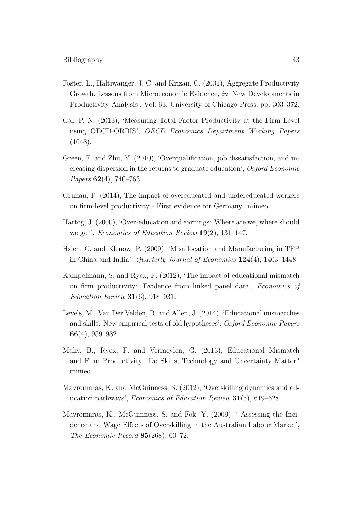- <span id="page-50-10"></span>Foster, L., Haltiwanger, J. C. and Krizan, C. (2001), Aggregate Productivity Growth. Lessons from Microeconomic Evidence, in 'New Developments in Productivity Analysis', Vol. 63, University of Chicago Press, pp. 303–372.
- <span id="page-50-4"></span>Gal, P. N. (2013), 'Measuring Total Factor Productivity at the Firm Level using OECD-ORBIS', OECD Economics Department Working Papers (1048).
- <span id="page-50-7"></span>Green, F. and Zhu, Y. (2010), 'Overqualification, job dissatisfaction, and increasing dispersion in the returns to graduate education', Oxford Economic Papers 62(4), 740–763.
- <span id="page-50-8"></span>Grunau, P. (2014), The impact of overeducated and undereducated workers on firm-level productivity - First evidence for Germany. mimeo.
- <span id="page-50-1"></span>Hartog, J. (2000), 'Over-education and earnings: Where are we, where should we go?', Economics of Education Review 19(2), 131–147.
- <span id="page-50-9"></span>Hsieh, C. and Klenow, P. (2009), 'Misallocation and Manufacturing in TFP in China and India', Quarterly Journal of Economics 124(4), 1403–1448.
- <span id="page-50-2"></span>Kampelmann, S. and Rycx, F. (2012), 'The impact of educational mismatch on firm productivity: Evidence from linked panel data', Economics of *Education Review* **31**(6), 918–931.
- <span id="page-50-6"></span>Levels, M., Van Der Velden, R. and Allen, J. (2014), 'Educational mismatches and skills: New empirical tests of old hypotheses', Oxford Economic Papers 66(4), 959–982.
- <span id="page-50-3"></span>Mahy, B., Rycx, F. and Vermeylen, G. (2013), Educational Mismatch and Firm Productivity: Do Skills, Technology and Uncertainty Matter? mimeo.
- <span id="page-50-5"></span>Mavromaras, K. and McGuinness, S. (2012), 'Overskilling dynamics and education pathways', Economics of Education Review 31(5), 619–628.
- <span id="page-50-0"></span>Mavromaras, K., McGuinness, S. and Fok, Y. (2009), ' Assessing the Incidence and Wage Effects of Overskilling in the Australian Labour Market', The Economic Record  $85(268)$ , 60-72.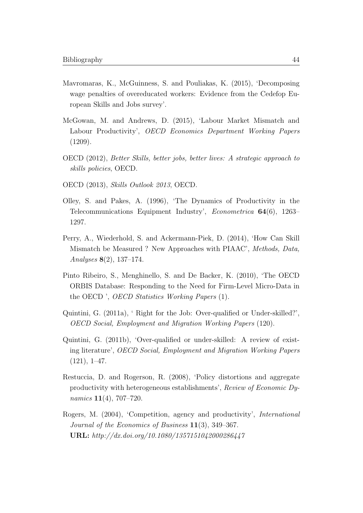- <span id="page-51-4"></span>Mavromaras, K., McGuinness, S. and Pouliakas, K. (2015), 'Decomposing wage penalties of overeducated workers: Evidence from the Cedefop European Skills and Jobs survey'.
- <span id="page-51-1"></span>McGowan, M. and Andrews, D. (2015), 'Labour Market Mismatch and Labour Productivity', OECD Economics Department Working Papers  $(1209).$
- <span id="page-51-0"></span>OECD (2012), Better Skills, better jobs, better lives: A strategic approach to skills policies, OECD.
- <span id="page-51-3"></span>OECD (2013), Skills Outlook 2013, OECD.
- <span id="page-51-7"></span>Olley, S. and Pakes, A. (1996), 'The Dynamics of Productivity in the Telecommunications Equipment Industry', Econometrica 64(6), 1263– 1297.
- <span id="page-51-6"></span>Perry, A., Wiederhold, S. and Ackermann-Piek, D. (2014), 'How Can Skill Mismatch be Measured ? New Approaches with PIAAC', Methods, Data, Analyses 8(2), 137–174.
- <span id="page-51-9"></span>Pinto Ribeiro, S., Menghinello, S. and De Backer, K. (2010), 'The OECD ORBIS Database: Responding to the Need for Firm-Level Micro-Data in the OECD ', OECD Statistics Working Papers (1).
- <span id="page-51-2"></span>Quintini, G. (2011a), ' Right for the Job: Over-qualified or Under-skilled?', OECD Social, Employment and Migration Working Papers (120).
- <span id="page-51-5"></span>Quintini, G. (2011b), 'Over-qualified or under-skilled: A review of existing literature', OECD Social, Employment and Migration Working Papers  $(121), 1-47.$
- <span id="page-51-8"></span>Restuccia, D. and Rogerson, R. (2008), 'Policy distortions and aggregate productivity with heterogeneous establishments', Review of Economic Dynamics  $11(4)$ , 707–720.
- <span id="page-51-10"></span>Rogers, M. (2004), 'Competition, agency and productivity', International Journal of the Economics of Business 11(3), 349–367. URL: http://dx.doi.org/10.1080/1357151042000286447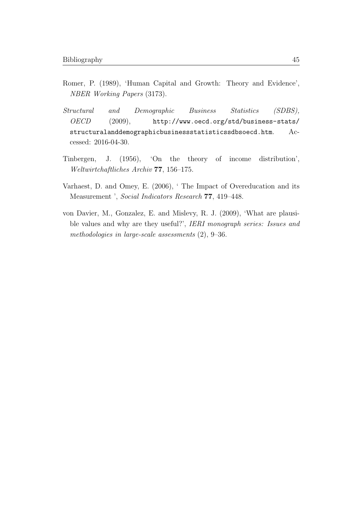- <span id="page-52-1"></span>Romer, P. (1989), 'Human Capital and Growth: Theory and Evidence', NBER Working Papers (3173).
- <span id="page-52-0"></span>Structural and Demographic Business Statistics (SDBS), OECD (2009), [http://www.oecd.org/std/business-stats/](http://www.oecd.org/std/business-stats/structuralanddemographicbusinessstatisticssdbsoecd.htm) [structuralanddemographicbusinessstatisticssdbsoecd.htm](http://www.oecd.org/std/business-stats/structuralanddemographicbusinessstatisticssdbsoecd.htm). Accessed: 2016-04-30.
- <span id="page-52-2"></span>Tinbergen, J. (1956), 'On the theory of income distribution', Weltwirtchaftliches Archiv 77, 156–175.
- <span id="page-52-3"></span>Varhaest, D. and Omey, E. (2006), ' The Impact of Overeducation and its Measurement ', Social Indicators Research 77, 419–448.
- <span id="page-52-4"></span>von Davier, M., Gonzalez, E. and Mislevy, R. J. (2009), 'What are plausible values and why are they useful?', IERI monograph series: Issues and methodologies in large-scale assessments (2), 9–36.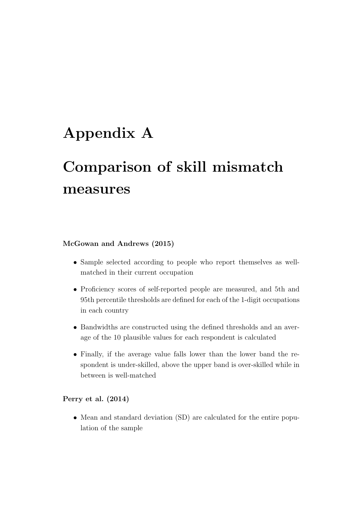## <span id="page-53-0"></span>Appendix A

# Comparison of skill mismatch measures

#### [McGowan and Andrews](#page-51-1) [\(2015\)](#page-51-1)

- Sample selected according to people who report themselves as wellmatched in their current occupation
- Proficiency scores of self-reported people are measured, and 5th and 95th percentile thresholds are defined for each of the 1-digit occupations in each country
- Bandwidths are constructed using the defined thresholds and an average of the 10 plausible values for each respondent is calculated
- Finally, if the average value falls lower than the lower band the respondent is under-skilled, above the upper band is over-skilled while in between is well-matched

[Perry et al.](#page-51-6) [\(2014\)](#page-51-6)

• Mean and standard deviation (SD) are calculated for the entire population of the sample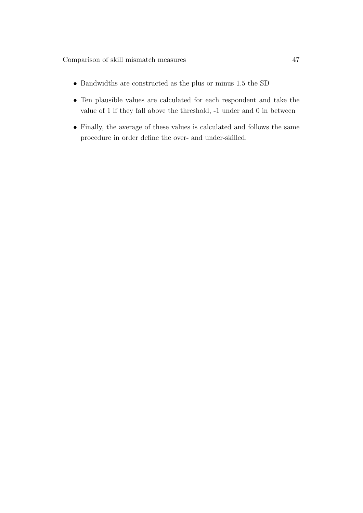- Bandwidths are constructed as the plus or minus 1.5 the SD
- Ten plausible values are calculated for each respondent and take the value of 1 if they fall above the threshold, -1 under and 0 in between
- Finally, the average of these values is calculated and follows the same procedure in order define the over- and under-skilled.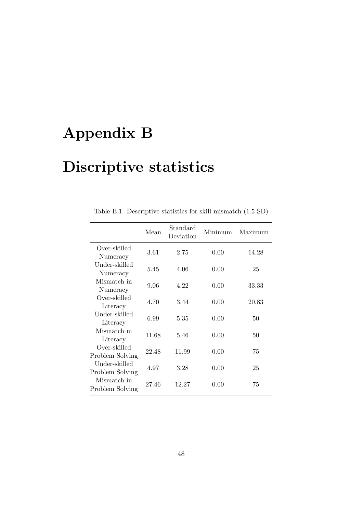# <span id="page-55-0"></span>Appendix B

# Discriptive statistics

<span id="page-55-1"></span>

|                                  | Mean  | Standard<br>Deviation | Minimum | Maximum |
|----------------------------------|-------|-----------------------|---------|---------|
| Over-skilled<br>Numeracy         | 3.61  | 2.75                  | 0.00    | 14.28   |
| Under-skilled<br>Numeracy        | 5.45  | 4.06                  | 0.00    | 25      |
| Mismatch in<br>Numeracy          | 9.06  | 4.22                  | 0.00    | 33.33   |
| Over-skilled<br>Literacy         | 4.70  | 3.44                  | 0.00    | 20.83   |
| Under-skilled<br>Literacy        | 6.99  | 5.35                  | 0.00    | 50      |
| Mismatch in<br>Literacy          | 11.68 | 5.46                  | 0.00    | 50      |
| Over-skilled<br>Problem Solving  | 22.48 | 11.99                 | 0.00    | 75      |
| Under-skilled<br>Problem Solving | 4.97  | 3.28                  | 0.00    | 25      |
| Mismatch in<br>Problem Solving   | 27.46 | 12.27                 | 0.00    | 75      |

Table B.1: Descriptive statistics for skill mismatch (1.5 SD)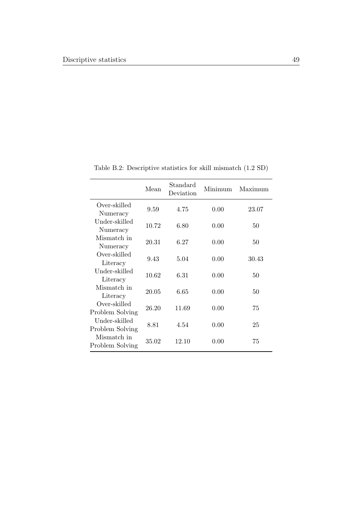<span id="page-56-0"></span>

|                                  | Mean  | Standard<br>Deviation | Minimum | Maximum |
|----------------------------------|-------|-----------------------|---------|---------|
| Over-skilled<br>Numeracy         | 9.59  | 4.75                  | 0.00    | 23.07   |
| Under-skilled<br>Numeracy        | 10.72 | 6.80                  | 0.00    | 50      |
| Mismatch in<br>Numeracy          | 20.31 | 6.27                  | 0.00    | 50      |
| Over-skilled<br>Literacy         | 9.43  | 5.04                  | 0.00    | 30.43   |
| Under-skilled<br>Literacy        | 10.62 | 6.31                  | 0.00    | 50      |
| Mismatch in<br>Literacy          | 20.05 | 6.65                  | 0.00    | 50      |
| Over-skilled<br>Problem Solving  | 26.20 | 11.69                 | 0.00    | 75      |
| Under-skilled<br>Problem Solving | 8.81  | 4.54                  | 0.00    | 25      |
| Mismatch in<br>Problem Solving   | 35.02 | 12.10                 | 0.00    | 75      |

Table B.2: Descriptive statistics for skill mismatch (1.2 SD)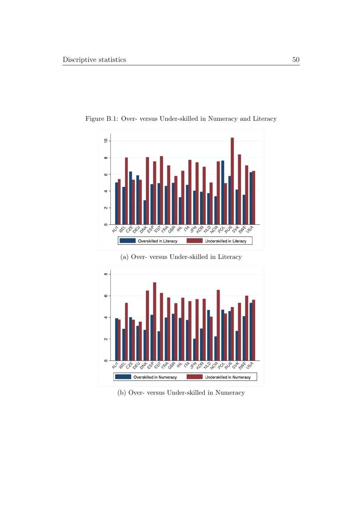

<span id="page-57-0"></span>Figure B.1: Over- versus Under-skilled in Numeracy and Literacy

(a) Over- versus Under-skilled in Literacy



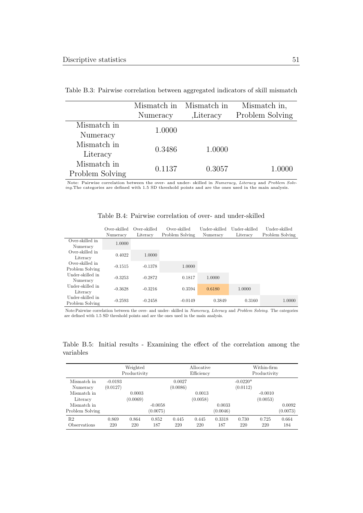|                                | Mismatch in<br>Numeracy | Mismatch in<br><i>Literacy</i> | Mismatch in,<br>Problem Solving |
|--------------------------------|-------------------------|--------------------------------|---------------------------------|
| Mismatch in<br>Numeracy        | 1.0000                  |                                |                                 |
| Mismatch in<br>Literacy        | 0.3486                  | 1.0000                         |                                 |
| Mismatch in<br>Problem Solving | 0.1137                  | 0.3057                         | 1.0000                          |

<span id="page-58-0"></span>Table B.3: Pairwise correlation between aggregated indicators of skill mismatch

Note: Pairwise correlation between the over- and under- skilled in Numeracy, Literacy and Problem Solving.The categories are defined with 1.5 SD threshold points and are the ones used in the main analysis.

| Table B.4: Pairwise correlation of over- and under-skilled |  |
|------------------------------------------------------------|--|
|------------------------------------------------------------|--|

<span id="page-58-1"></span>

|                                     | Over-skilled<br>Numeracy | Over-skilled<br>Literacy | Over-skilled<br>Problem Solving | Under-skilled<br>Numeracy | Under-skilled<br>Literacy | Under-skilled<br>Problem Solving |
|-------------------------------------|--------------------------|--------------------------|---------------------------------|---------------------------|---------------------------|----------------------------------|
| Over-skilled in<br>Numeracy         | 1.0000                   |                          |                                 |                           |                           |                                  |
| Over-skilled in<br>Literacy         | 0.4022                   | 1.0000                   |                                 |                           |                           |                                  |
| Over-skilled in<br>Problem Solving  | $-0.1515$                | $-0.1378$                | 1.0000                          |                           |                           |                                  |
| Under-skilled in<br>Numeracy        | $-0.3253$                | $-0.2872$                | 0.1817                          | 1.0000                    |                           |                                  |
| Under-skilled in<br>Literacy        | $-0.3628$                | $-0.3216$                | 0.3594                          | 0.6180                    | 1.0000                    |                                  |
| Under-skilled in<br>Problem Solving | $-0.2593$                | $-0.2458$                | $-0.0149$                       | 0.3849                    | 0.3160                    | 1.0000                           |

Note:Pairwise correlation between the over- and under- skilled in Numeracy, Literacy and Problem Solving. The categories are defined with 1.5 SD threshold points and are the ones used in the main analysis.

Table B.5: Initial results - Examining the effect of the correlation among the variables

<span id="page-58-2"></span>

|                 |           | Weighted<br>Productivity |           |          | Allocative<br>Efficiency |          |            | Within-firm<br>Productivity |          |
|-----------------|-----------|--------------------------|-----------|----------|--------------------------|----------|------------|-----------------------------|----------|
| Mismatch in     | $-0.0193$ |                          |           | 0.0027   |                          |          | $-0.0220*$ |                             |          |
| Numeracy        | (0.0127)  |                          |           | (0.0086) |                          |          | (0.0112)   |                             |          |
| Mismatch in     |           | 0.0003                   |           |          | 0.0013                   |          |            | $-0.0010$                   |          |
| Literacy        |           | (0.0069)                 |           |          | (0.0058)                 |          |            | (0.0053)                    |          |
| Mismatch in     |           |                          | $-0.0058$ |          |                          | 0.0033   |            |                             | 0.0092   |
| Problem Solving |           |                          | (0.0075)  |          |                          | (0.0046) |            |                             | (0.0073) |
| R <sub>2</sub>  | 0.869     | 0.864                    | 0.852     | 0.445    | 0.445                    | 0.3318   | 0.730      | 0.725                       | 0.664    |
| Observations    | 220       | 220                      | 187       | 220      | 220                      | 187      | 220        | 220                         | 184      |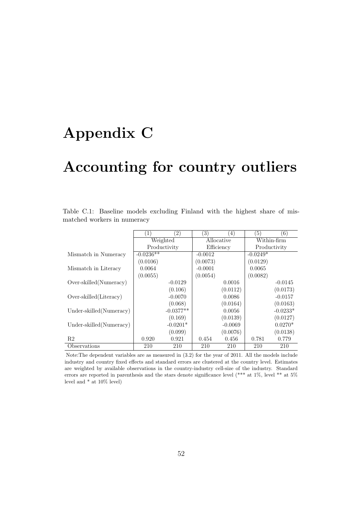# <span id="page-59-0"></span>Appendix C

## Accounting for country outliers

| Table C.1: Baseline models excluding Finland with the highest share of mis- |  |  |  |  |  |
|-----------------------------------------------------------------------------|--|--|--|--|--|
| matched workers in numeracy                                                 |  |  |  |  |  |

<span id="page-59-1"></span>

|                          | $\left( 2\right)$<br>$\left(1\right)$ |              | $\left( 3\right)$ | $\left(4\right)$ | 5)           | $\left(6\right)$ |
|--------------------------|---------------------------------------|--------------|-------------------|------------------|--------------|------------------|
|                          | Weighted                              |              | Allocative        |                  | Within-firm  |                  |
|                          |                                       | Productivity |                   | Efficiency       | Productivity |                  |
| Mismatch in Numeracy     | $-0.0236**$                           |              | $-0.0012$         |                  | $-0.0249*$   |                  |
|                          | (0.0106)                              |              | (0.0073)          |                  | (0.0129)     |                  |
| Mismatch in Literacy     | 0.0064                                |              | $-0.0001$         |                  | 0.0065       |                  |
|                          | (0.0055)                              |              | (0.0054)          |                  | (0.0082)     |                  |
| Over-skilled (Numeracy)  |                                       | $-0.0129$    |                   | 0.0016           |              | $-0.0145$        |
|                          |                                       | (0.106)      |                   | (0.0112)         |              | (0.0173)         |
| Over-skilled (Literacy)  |                                       | $-0.0070$    |                   | 0.0086           |              | $-0.0157$        |
|                          |                                       | (0.068)      |                   | (0.0164)         |              | (0.0163)         |
| Under-skilled (Numeracy) |                                       | $-0.0377**$  |                   | 0.0056           |              | $-0.0233*$       |
|                          |                                       | (0.169)      |                   | (0.0139)         |              | (0.0127)         |
| Under-skilled (Numeracy) |                                       | $-0.0201*$   |                   | $-0.0069$        |              | $0.0270*$        |
|                          |                                       | (0.099)      |                   | (0.0076)         |              | (0.0138)         |
| R <sub>2</sub>           | 0.920                                 | 0.921        | 0.454             | 0.456            | 0.781        | 0.779            |
| Observations             | 210                                   | 210          | 210               | 210              | 210          | 210              |

Note:The dependent variables are as measured in [\(3.2\)](#page-31-0) for the year of 2011. All the models include industry and country fixed effects and standard errors are clustered at the country level. Estimates are weighted by available observations in the country-industry cell-size of the industry. Standard errors are reported in parenthesis and the stars denote significance level (\*\*\* at 1%, level \*\* at 5% level and \* at 10% level)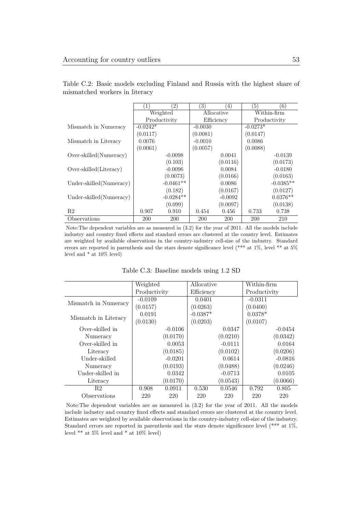<span id="page-60-0"></span>

|                          | 1          | $\left 2\right\rangle$ | 3)        | $\left( 4\right)$ | 5)           | (6)         |  |
|--------------------------|------------|------------------------|-----------|-------------------|--------------|-------------|--|
|                          | Weighted   |                        |           | Allocative        | Within-firm  |             |  |
|                          |            | Productivity           |           | Efficiency        | Productivity |             |  |
| Mismatch in Numeracy     | $-0.0242*$ |                        | $-0.0030$ |                   | $-0.0273*$   |             |  |
|                          | (0.0117)   |                        | (0.0081)  |                   | (0.0147)     |             |  |
| Mismatch in Literacy     | 0.0076     |                        | $-0.0010$ |                   | 0.0086       |             |  |
|                          | (0.0061)   |                        | (0.0057)  |                   | (0.0088)     |             |  |
| Over-skilled (Numeracy)  |            | $-0.0098$              |           | 0.0041            |              | $-0.0139$   |  |
|                          |            | (0.103)                |           | (0.0116)          |              | (0.0173)    |  |
| Over-skilled (Literacy)  |            | $-0.0096$              |           | 0.0084            |              | $-0.0180$   |  |
|                          |            | (0.0073)               |           | (0.0166)          |              | (0.0163)    |  |
| Under-skilled (Numeracy) |            | $-0.0461**$            |           | 0.0086            |              | $-0.0385**$ |  |
|                          |            | (0.182)                |           | (0.0167)          |              | (0.0127)    |  |
| Under-skilled (Numeracy) |            | $-0.0284**$            |           | $-0.0092$         |              | $0.0376**$  |  |
|                          |            | (0.099)                |           | (0.0097)          |              | (0.0138)    |  |
| R2                       | 0.907      | 0.910                  | 0.454     | 0.456             | 0.733        | 0.738       |  |
| Observations             | <b>200</b> | <b>200</b>             | 200       | <b>200</b>        | <b>200</b>   | 210         |  |

Table C.2: Basic models excluding Finland and Russia with the highest share of mismatched workers in literacy

Note:The dependent variables are as measured in [\(3.2\)](#page-31-0) for the year of 2011. All the models include industry and country fixed effects and standard errors are clustered at the country level. Estimates are weighted by available observations in the country-industry cell-size of the industry. Standard errors are reported in parenthesis and the stars denote significance level (\*\*\* at 1%, level \*\* at 5% level and  $*$  at 10% level)

|  |  | Table C.3: Baseline models using 1.2 SD |  |  |  |  |
|--|--|-----------------------------------------|--|--|--|--|
|--|--|-----------------------------------------|--|--|--|--|

<span id="page-60-1"></span>

|                      | Weighted        |           | Allocative |           | Within-firm  |           |
|----------------------|-----------------|-----------|------------|-----------|--------------|-----------|
|                      | Productivity    |           | Efficiency |           | Productivity |           |
|                      | $-0.0109$       |           | 0.0401     |           | $-0.0311$    |           |
| Mismatch in Numeracy | (0.0157)        |           | (0.0263)   |           | (0.0400)     |           |
|                      | 0.0191          |           | $-0.0387*$ |           | $0.0378*$    |           |
| Mismatch in Literacy | (0.0130)        |           | (0.0203)   |           | (0.0107)     |           |
| Over-skilled in      |                 | $-0.0106$ |            | 0.0347    |              | $-0.0454$ |
| Numeracy             | (0.0170)        |           |            | (0.0210)  |              | (0.0342)  |
| Over-skilled in      |                 | 0.0053    |            | $-0.0111$ |              | 0.0164    |
| Literacy             | (0.0185)        |           |            | (0.0102)  |              | (0.0206)  |
| Under-skilled        |                 | $-0.0201$ |            | 0.0614    |              | $-0.0816$ |
| Numeracy             | (0.0193)        |           |            | (0.0488)  |              | (0.0246)  |
| Under-skilled in     |                 | 0.0342    |            | $-0.0713$ |              | 0.0105    |
| Literacy             | (0.0170)        |           |            | (0.0543)  |              | (0.0066)  |
| R <sub>2</sub>       | 0.908<br>0.0911 |           | 0.530      | 0.0546    | 0.792        | 0.805     |
| Observations         | 220<br>220      |           | 220        | 220       | 220          | 220       |

Note:The dependent variables are as measured in [\(3.2\)](#page-31-0) for the year of 2011. All the models include industry and country fixed effects and standard errors are clustered at the country level. Estimates are weighted by available observations in the country-industry cell-size of the industry. Standard errors are reported in parenthesis and the stars denote significance level (\*\*\* at 1%, level  $**$  at 5% level and  $*$  at 10% level)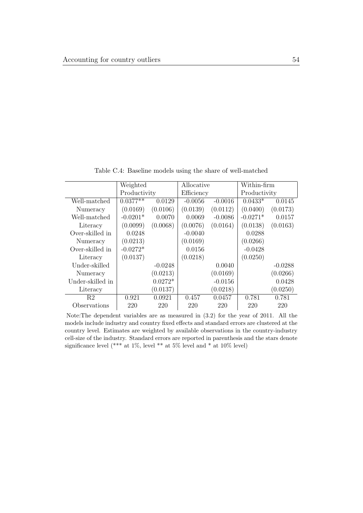<span id="page-61-0"></span>Weighted Productivity Allocative Efficiency Within-firm Productivity Well-matched Numeracy  $0.0377**$ (0.0169) 0.0129 (0.0106) -0.0056 (0.0139) -0.0016 (0.0112)  $0.0433*$ (0.0400) 0.0145 (0.0173) Well-matched Literacy  $-0.0201*$ (0.0099) 0.0070 (0.0068) 0.0069 (0.0076) -0.0086 (0.0164)  $-0.0271*$ (0.0138) 0.0157 (0.0163) Over-skilled in Numeracy 0.0248 (0.0213) -0.0040 (0.0169) 0.0288 (0.0266) Over-skilled in Literacy -0.0272\* (0.0137) 0.0156 (0.0218) -0.0428 (0.0250) Under-skilled Numeracy -0.0248 (0.0213) 0.0040 (0.0169) -0.0288 (0.0266) Under-skilled in Literacy 0.0272\* (0.0137) -0.0156 (0.0218) 0.0428 (0.0250) R2 0.921 0.0921 0.457 0.0457 0.781 0.781 Observations 220 220 220 220 220 220

Table C.4: Baseline models using the share of well-matched

Note:The dependent variables are as measured in [\(3.2\)](#page-31-0) for the year of 2011. All the models include industry and country fixed effects and standard errors are clustered at the country level. Estimates are weighted by available observations in the country-industry cell-size of the industry. Standard errors are reported in parenthesis and the stars denote significance level (\*\*\* at  $1\%$ , level \*\* at  $5\%$  level and \* at  $10\%$  level)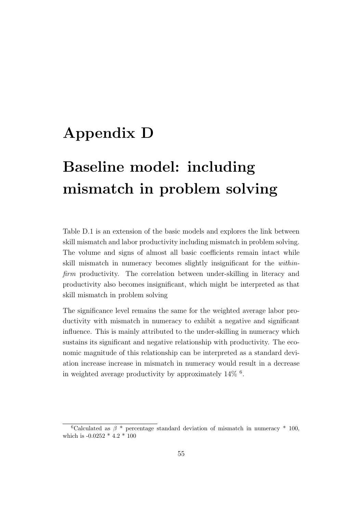## <span id="page-62-0"></span>Appendix D

# Baseline model: including mismatch in problem solving

[Table D.1](#page-63-0) is an extension of the basic models and explores the link between skill mismatch and labor productivity including mismatch in problem solving. The volume and signs of almost all basic coefficients remain intact while skill mismatch in numeracy becomes slightly insignificant for the withinfirm productivity. The correlation between under-skilling in literacy and productivity also becomes insignificant, which might be interpreted as that skill mismatch in problem solving

The significance level remains the same for the weighted average labor productivity with mismatch in numeracy to exhibit a negative and significant influence. This is mainly attributed to the under-skilling in numeracy which sustains its significant and negative relationship with productivity. The economic magnitude of this relationship can be interpreted as a standard deviation increase increase in mismatch in numeracy would result in a decrease in weighted average productivity by approximately 14% [6](#page-62-1) .

<span id="page-62-1"></span><sup>&</sup>lt;sup>6</sup>Calculated as  $\beta$  \* percentage standard deviation of mismatch in numeracy \* 100, which is -0.0252 \* 4.2 \* 100